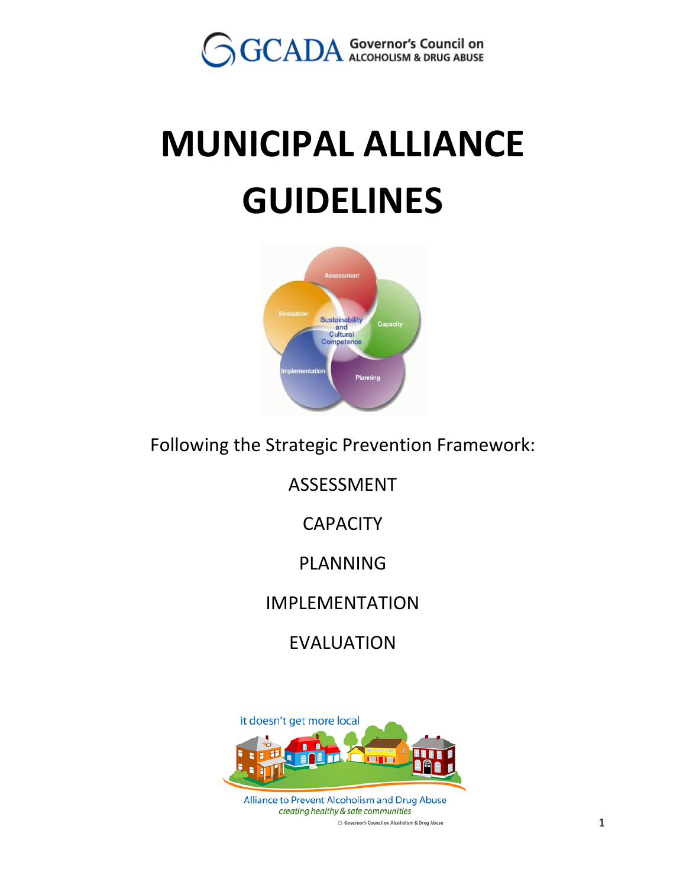

# **MUNICIPAL ALLIANCE GUIDELINES**



Following the Strategic Prevention Framework:

ASSESSMENT

**CAPACITY** 

PLANNING

IMPLEMENTATION

EVALUATION

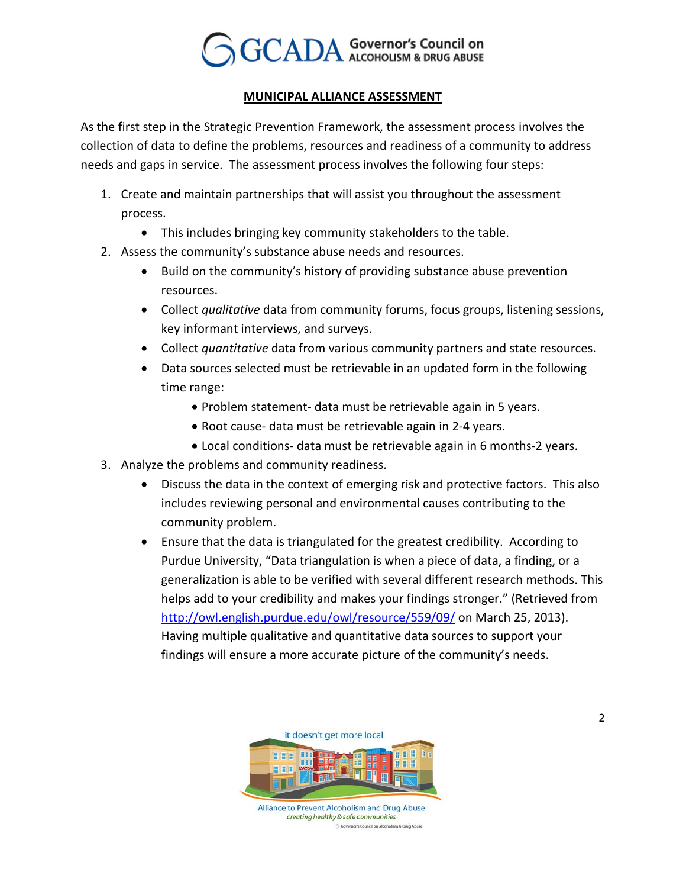

#### *<sup>U</sup>***MUNICIPAL ALLIANCE ASSESSMENT**

As the first step in the Strategic Prevention Framework, the assessment process involves the collection of data to define the problems, resources and readiness of a community to address needs and gaps in service. The assessment process involves the following four steps:

- 1. Create and maintain partnerships that will assist you throughout the assessment process.
	- This includes bringing key community stakeholders to the table.
- 2. Assess the community's substance abuse needs and resources.
	- Build on the community's history of providing substance abuse prevention resources.
	- Collect *qualitative* data from community forums, focus groups, listening sessions, key informant interviews, and surveys.
	- Collect *quantitative* data from various community partners and state resources.
	- Data sources selected must be retrievable in an updated form in the following time range:
		- Problem statement- data must be retrievable again in 5 years.
		- Root cause- data must be retrievable again in 2-4 years.
		- Local conditions- data must be retrievable again in 6 months-2 years.
- 3. Analyze the problems and community readiness.
	- Discuss the data in the context of emerging risk and protective factors. This also includes reviewing personal and environmental causes contributing to the community problem.
	- Ensure that the data is triangulated for the greatest credibility. According to Purdue University, "Data triangulation is when a piece of data, a finding, or a generalization is able to be verified with several different research methods. This helps add to your credibility and makes your findings stronger." (Retrieved from <http://owl.english.purdue.edu/owl/resource/559/09/>*on March 25, 2013*). Having multiple qualitative and quantitative data sources to support your findings will ensure a more accurate picture of the community's needs.

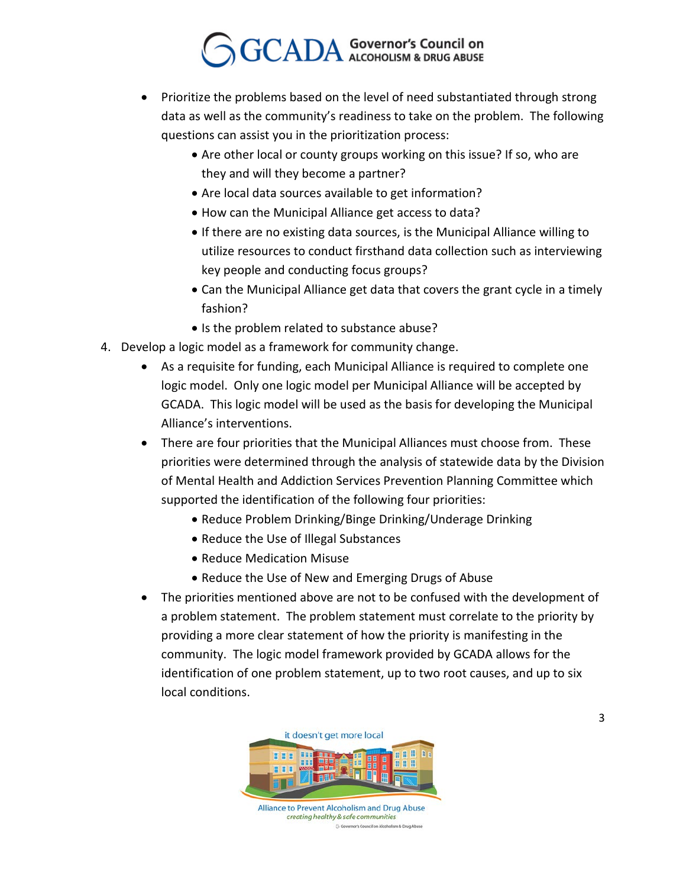- Prioritize the problems based on the level of need substantiated through strong data as well as the community's readiness to take on the problem. The following questions can assist you in the prioritization process:
	- Are other local or county groups working on this issue? If so, who are they and will they become a partner?
	- Are local data sources available to get information?
	- How can the Municipal Alliance get access to data?
	- If there are no existing data sources, is the Municipal Alliance willing to utilize resources to conduct firsthand data collection such as interviewing key people and conducting focus groups?
	- Can the Municipal Alliance get data that covers the grant cycle in a timely fashion?
	- Is the problem related to substance abuse?
- 4. Develop a logic model as a framework for community change.
	- As a requisite for funding, each Municipal Alliance is required to complete one logic model. Only one logic model per Municipal Alliance will be accepted by GCADA. This logic model will be used as the basis for developing the Municipal Alliance's interventions.
	- There are four priorities that the Municipal Alliances must choose from. These priorities were determined through the analysis of statewide data by the Division of Mental Health and Addiction Services Prevention Planning Committee which supported the identification of the following four priorities:
		- Reduce Problem Drinking/Binge Drinking/Underage Drinking
		- Reduce the Use of Illegal Substances
		- Reduce Medication Misuse
		- Reduce the Use of New and Emerging Drugs of Abuse
	- The priorities mentioned above are not to be confused with the development of a problem statement. The problem statement must correlate to the priority by providing a more clear statement of how the priority is manifesting in the community. The logic model framework provided by GCADA allows for the identification of one problem statement, up to two root causes, and up to six local conditions.

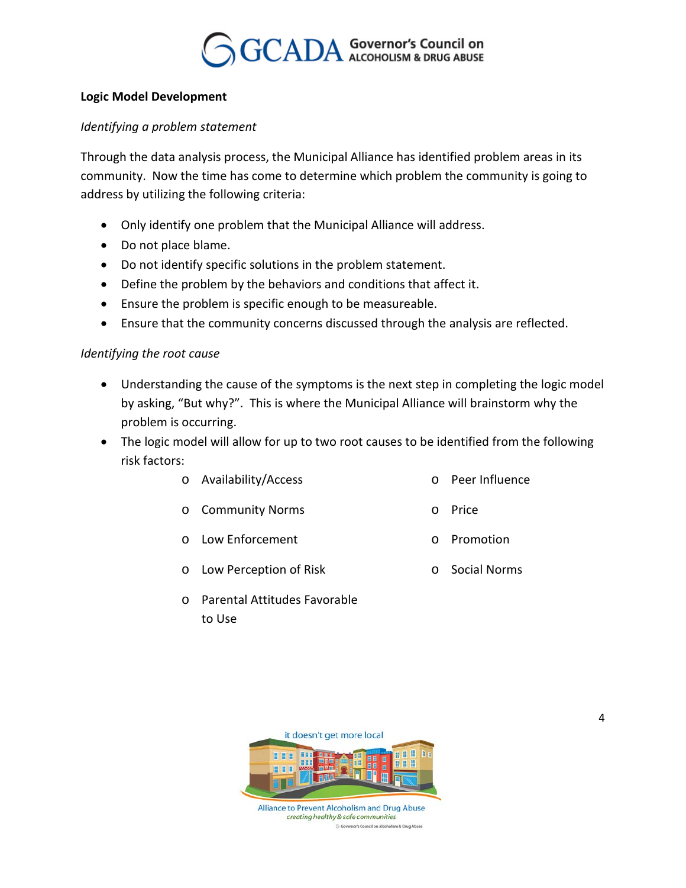

#### **Logic Model Development**

#### *Identifying a problem statement*

Through the data analysis process, the Municipal Alliance has identified problem areas in its community. Now the time has come to determine which problem the community is going to address by utilizing the following criteria:

- Only identify one problem that the Municipal Alliance will address.
- Do not place blame.
- Do not identify specific solutions in the problem statement.
- Define the problem by the behaviors and conditions that affect it.
- Ensure the problem is specific enough to be measureable.
- Ensure that the community concerns discussed through the analysis are reflected.

#### *Identifying the root cause*

- Understanding the cause of the symptoms is the next step in completing the logic model by asking, "But why?". This is where the Municipal Alliance will brainstorm why the problem is occurring.
- The logic model will allow for up to two root causes to be identified from the following risk factors:
	- o Availability/Access o Peer Influence
	- o Community Norms o Price
	- o Low Enforcement o Promotion
	- o Low Perception of Risk o Social Norms
- 
- 
- 
- - o Parental Attitudes Favorable to Use

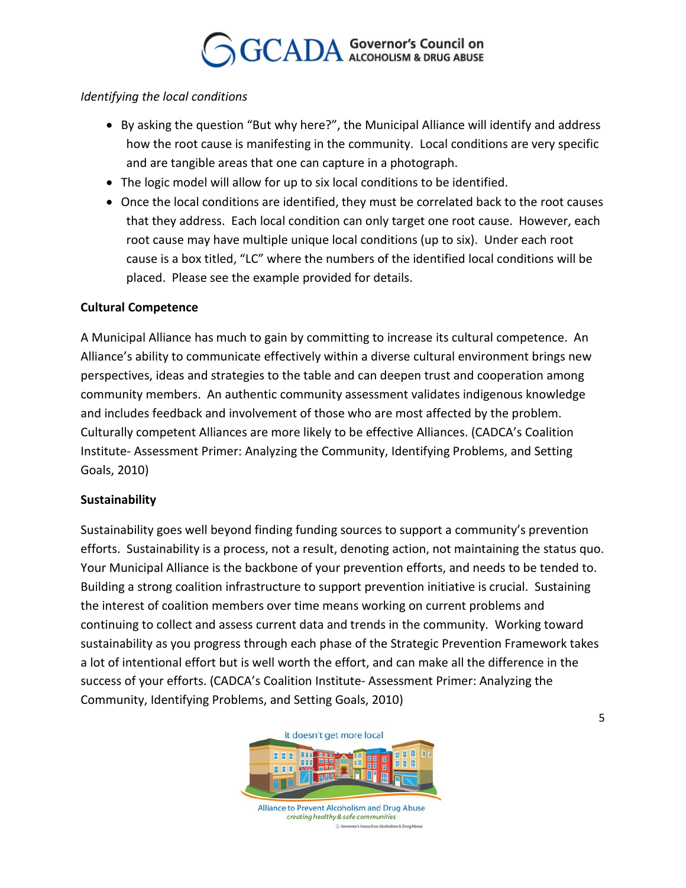#### *Identifying the local conditions*

- By asking the question "But why here?", the Municipal Alliance will identify and address how the root cause is manifesting in the community. Local conditions are very specific and are tangible areas that one can capture in a photograph.
- The logic model will allow for up to six local conditions to be identified.
- Once the local conditions are identified, they must be correlated back to the root causes that they address. Each local condition can only target one root cause. However, each root cause may have multiple unique local conditions (up to six). Under each root cause is a box titled, "LC" where the numbers of the identified local conditions will be placed. Please see the example provided for details.

#### **Cultural Competence**

A Municipal Alliance has much to gain by committing to increase its cultural competence. An Alliance's ability to communicate effectively within a diverse cultural environment brings new perspectives, ideas and strategies to the table and can deepen trust and cooperation among community members. An authentic community assessment validates indigenous knowledge and includes feedback and involvement of those who are most affected by the problem. Culturally competent Alliances are more likely to be effective Alliances. (CADCA's Coalition Institute- Assessment Primer: Analyzing the Community, Identifying Problems, and Setting Goals, 2010)

#### **Sustainability**

Sustainability goes well beyond finding funding sources to support a community's prevention efforts. Sustainability is a process, not a result, denoting action, not maintaining the status quo. Your Municipal Alliance is the backbone of your prevention efforts, and needs to be tended to. Building a strong coalition infrastructure to support prevention initiative is crucial. Sustaining the interest of coalition members over time means working on current problems and continuing to collect and assess current data and trends in the community. Working toward sustainability as you progress through each phase of the Strategic Prevention Framework takes a lot of intentional effort but is well worth the effort, and can make all the difference in the success of your efforts. (CADCA's Coalition Institute- Assessment Primer: Analyzing the Community, Identifying Problems, and Setting Goals, 2010)

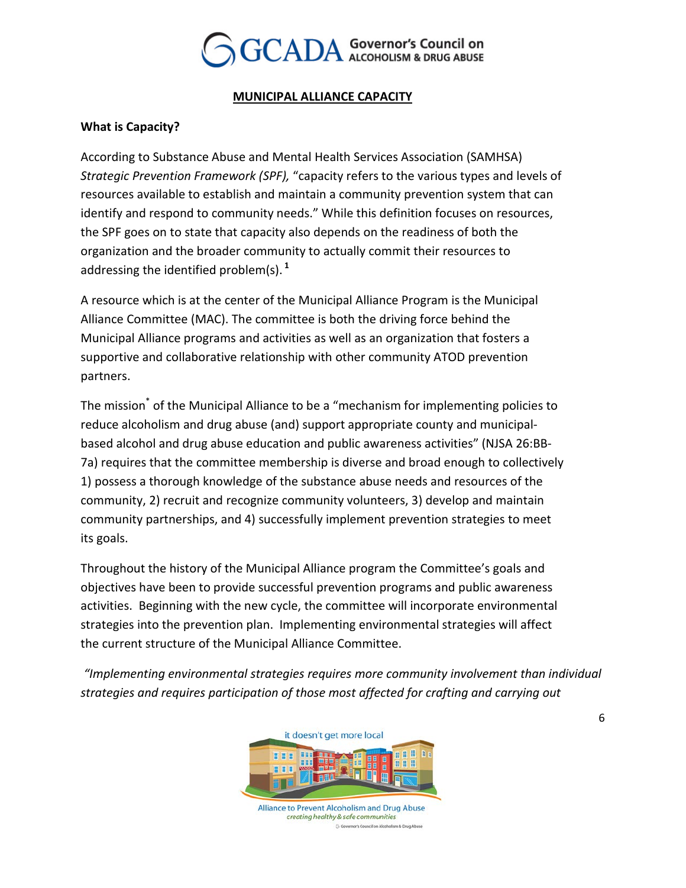

#### *<sup>U</sup>***MUNICIPAL ALLIANCE CAPACITY**

#### **What is Capacity?**

According to Substance Abuse and Mental Health Services Association (SAMHSA) *Strategic Prevention Framework (SPF),* "capacity refers to the various types and levels of resources available to establish and maintain a community prevention system that can identify and respond to community needs." While this definition focuses on resources, the SPF goes on to state that capacity also depends on the readiness of both the organization and the broader community to actually commit their resources to addressing the identified problem(s). <sup>1</sup>

A resource which is at the center of the Municipal Alliance Program is the Municipal Alliance Committee (MAC). The committee is both the driving force behind the Municipal Alliance programs and activities as well as an organization that fosters a supportive and collaborative relationship with other community ATOD prevention partners.

The mission<sup>\*</sup> of the Municipal Alliance to be a "mechanism for implementing policies to reduce alcoholism and drug abuse (and) support appropriate county and municipalbased alcohol and drug abuse education and public awareness activities" (NJSA 26:BB-7a) requires that the committee membership is diverse and broad enough to collectively 1) possess a thorough knowledge of the substance abuse needs and resources of the community, 2) recruit and recognize community volunteers, 3) develop and maintain community partnerships, and 4) successfully implement prevention strategies to meet its goals.

Throughout the history of the Municipal Alliance program the Committee's goals and objectives have been to provide successful prevention programs and public awareness activities. Beginning with the new cycle, the committee will incorporate environmental strategies into the prevention plan. Implementing environmental strategies will affect the current structure of the Municipal Alliance Committee.

*"Implementing environmental strategies requires more community involvement than individual strategies and requires participation of those most affected for crafting and carrying out* 

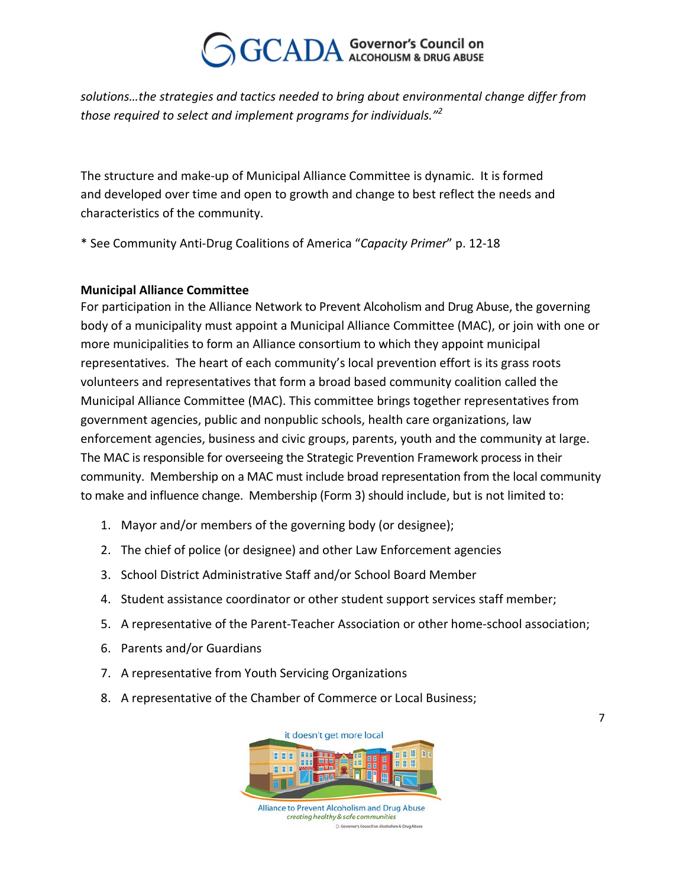*solutions…the strategies and tactics needed to bring about environmental change differ from those required to select and implement programs for individuals."<sup>P</sup> 2*

The structure and make-up of Municipal Alliance Committee is dynamic. It is formed and developed over time and open to growth and change to best reflect the needs and characteristics of the community.

\* See Community Anti-Drug Coalitions of America "*Capacity Primer*" p. 12-18

#### **Municipal Alliance Committee**

For participation in the Alliance Network to Prevent Alcoholism and Drug Abuse, the governing body of a municipality must appoint a Municipal Alliance Committee (MAC), or join with one or more municipalities to form an Alliance consortium to which they appoint municipal representatives. The heart of each community's local prevention effort is its grass roots volunteers and representatives that form a broad based community coalition called the Municipal Alliance Committee (MAC). This committee brings together representatives from government agencies, public and nonpublic schools, health care organizations, law enforcement agencies, business and civic groups, parents, youth and the community at large. The MAC is responsible for overseeing the Strategic Prevention Framework process in their community. Membership on a MAC must include broad representation from the local community to make and influence change. Membership (Form 3) should include, but is not limited to:

- 1. Mayor and/or members of the governing body (or designee);
- 2. The chief of police (or designee) and other Law Enforcement agencies
- 3. School District Administrative Staff and/or School Board Member
- 4. Student assistance coordinator or other student support services staff member;
- 5. A representative of the Parent-Teacher Association or other home-school association;
- 6. Parents and/or Guardians
- 7. A representative from Youth Servicing Organizations
- 8. A representative of the Chamber of Commerce or Local Business;



Alliance to Prevent Alcoholism and Drug Abuse creating healthy & safe communities G Go nor's Council on Alcoholism & Drug Abus

7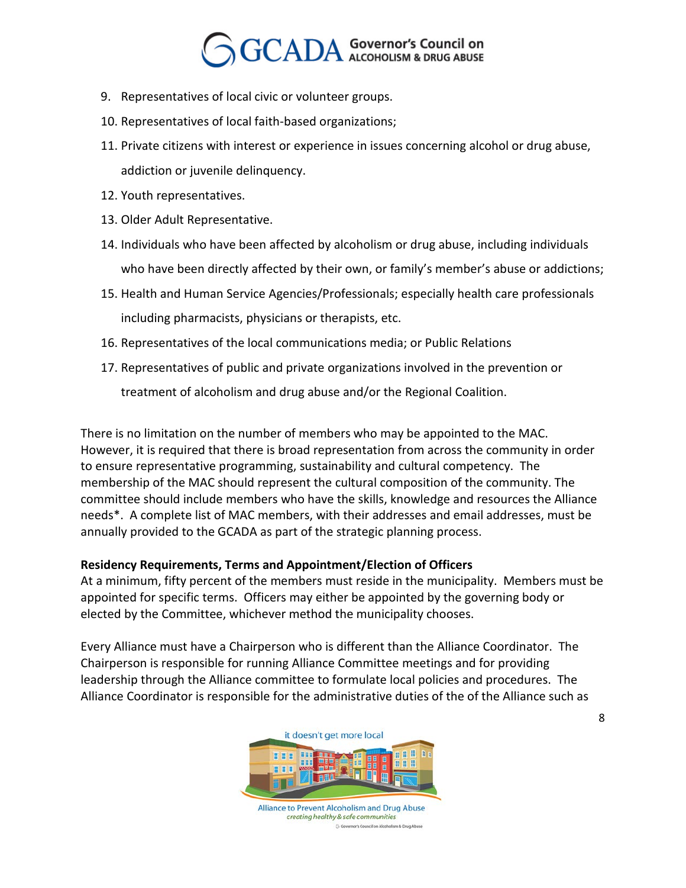- 9. Representatives of local civic or volunteer groups.
- 10. Representatives of local faith-based organizations;
- 11. Private citizens with interest or experience in issues concerning alcohol or drug abuse, addiction or juvenile delinquency.
- 12. Youth representatives.
- 13. Older Adult Representative.
- 14. Individuals who have been affected by alcoholism or drug abuse, including individuals who have been directly affected by their own, or family's member's abuse or addictions;
- 15. Health and Human Service Agencies/Professionals; especially health care professionals including pharmacists, physicians or therapists, etc.
- 16. Representatives of the local communications media; or Public Relations
- 17. Representatives of public and private organizations involved in the prevention or

treatment of alcoholism and drug abuse and/or the Regional Coalition.

There is no limitation on the number of members who may be appointed to the MAC. However, it is required that there is broad representation from across the community in order to ensure representative programming, sustainability and cultural competency. The membership of the MAC should represent the cultural composition of the community. The committee should include members who have the skills, knowledge and resources the Alliance needs\*. A complete list of MAC members, with their addresses and email addresses, must be annually provided to the GCADA as part of the strategic planning process.

#### **Residency Requirements, Terms and Appointment/Election of Officers**

At a minimum, fifty percent of the members must reside in the municipality. Members must be appointed for specific terms. Officers may either be appointed by the governing body or elected by the Committee, whichever method the municipality chooses.

Every Alliance must have a Chairperson who is different than the Alliance Coordinator. The Chairperson is responsible for running Alliance Committee meetings and for providing leadership through the Alliance committee to formulate local policies and procedures. The Alliance Coordinator is responsible for the administrative duties of the of the Alliance such as

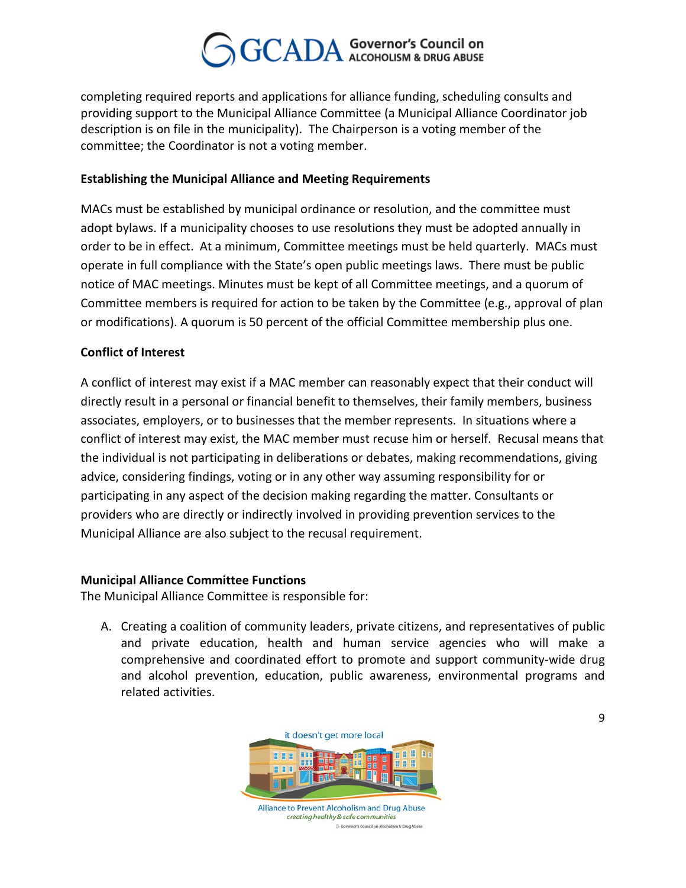completing required reports and applications for alliance funding, scheduling consults and providing support to the Municipal Alliance Committee (a Municipal Alliance Coordinator job description is on file in the municipality). The Chairperson is a voting member of the committee; the Coordinator is not a voting member.

#### **Establishing the Municipal Alliance and Meeting Requirements**

MACs must be established by municipal ordinance or resolution, and the committee must adopt bylaws. If a municipality chooses to use resolutions they must be adopted annually in order to be in effect. At a minimum, Committee meetings must be held quarterly. MACs must operate in full compliance with the State's open public meetings laws. There must be public notice of MAC meetings. Minutes must be kept of all Committee meetings, and a quorum of Committee members is required for action to be taken by the Committee (e.g., approval of plan or modifications). A quorum is 50 percent of the official Committee membership plus one.*<sup>S</sup>*

#### **Conflict of Interest**

A conflict of interest may exist if a MAC member can reasonably expect that their conduct will directly result in a personal or financial benefit to themselves, their family members, business associates, employers, or to businesses that the member represents. In situations where a conflict of interest may exist, the MAC member must recuse him or herself. Recusal means that the individual is not participating in deliberations or debates, making recommendations, giving advice, considering findings, voting or in any other way assuming responsibility for or participating in any aspect of the decision making regarding the matter. Consultants or providers who are directly or indirectly involved in providing prevention services to the Municipal Alliance are also subject to the recusal requirement.

#### **Municipal Alliance Committee Functions**

The Municipal Alliance Committee is responsible for:

A. Creating a coalition of community leaders, private citizens, and representatives of public and private education, health and human service agencies who will make a comprehensive and coordinated effort to promote and support community-wide drug and alcohol prevention, education, public awareness, environmental programs and related activities.

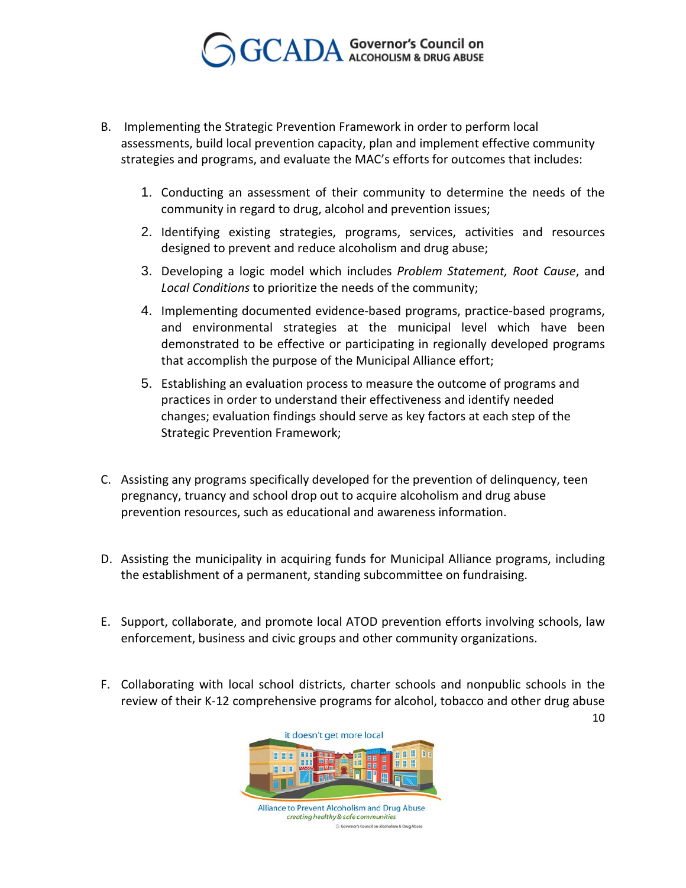

- B. Implementing the Strategic Prevention Framework in order to perform local assessments, build local prevention capacity, plan and implement effective community strategies and programs, and evaluate the MAC's efforts for outcomes that includes:
	- 1. Conducting an assessment of their community to determine the needs of the community in regard to drug, alcohol and prevention issues;
	- 2. Identifying existing strategies, programs, services, activities and resources designed to prevent and reduce alcoholism and drug abuse;
	- 3. Developing a logic model which includes *Problem Statement, Root Cause*, and *Local Conditions* to prioritize the needs of the community;
	- 4. Implementing documented evidence-based programs, practice-based programs, and environmental strategies at the municipal level which have been demonstrated to be effective or participating in regionally developed programs that accomplish the purpose of the Municipal Alliance effort;
	- 5. Establishing an evaluation process to measure the outcome of programs and practices in order to understand their effectiveness and identify needed changes; evaluation findings should serve as key factors at each step of the Strategic Prevention Framework;
- C. Assisting any programs specifically developed for the prevention of delinquency, teen pregnancy, truancy and school drop out to acquire alcoholism and drug abuse prevention resources, such as educational and awareness information.
- D. Assisting the municipality in acquiring funds for Municipal Alliance programs, including the establishment of a permanent, standing subcommittee on fundraising.
- E. Support, collaborate, and promote local ATOD prevention efforts involving schools, law enforcement, business and civic groups and other community organizations.
- F. Collaborating with local school districts, charter schools and nonpublic schools in the review of their K-12 comprehensive programs for alcohol, tobacco and other drug abuse

it doesn't get more local Alliance to Prevent Alcoholism and Drug Abuse

> creating healthy & safe communities G Go .<br>mor's Council on Alcoholism & Drug Abus

10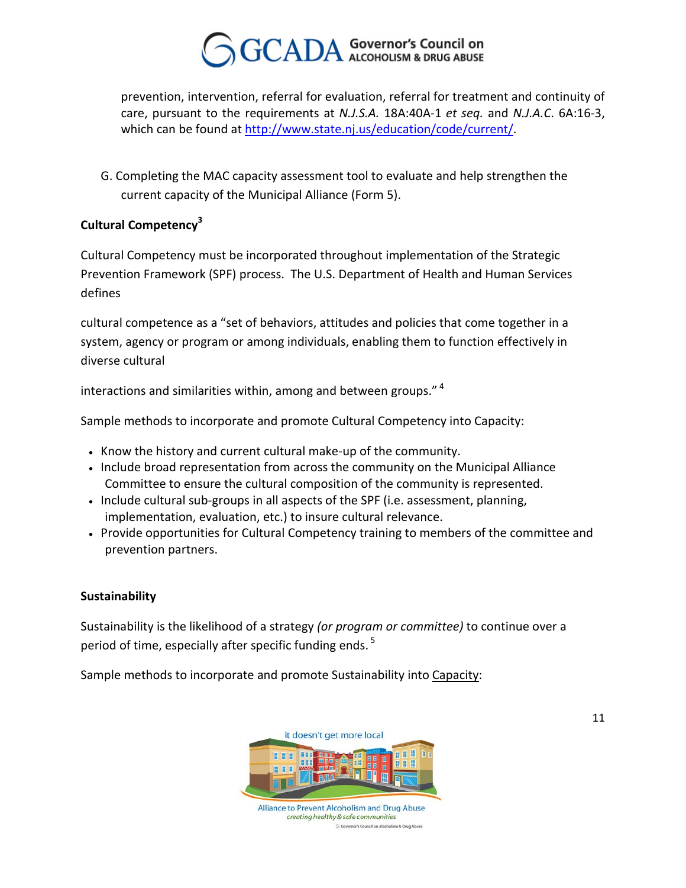prevention, intervention, referral for evaluation, referral for treatment and continuity of care, pursuant to the requirements at *N.J.S.A.* 18A:40A-1 *et seq.* and *N.J.A.C*. 6A:16-3, which can be found at <http://www.state.nj.us/education/code/current/>.

G. Completing the MAC capacity assessment tool to evaluate and help strengthen the current capacity of the Municipal Alliance (Form 5).

### **Cultural Competency**<sup>3</sup>

Cultural Competency must be incorporated throughout implementation of the Strategic Prevention Framework (SPF) process. The U.S. Department of Health and Human Services defines

cultural competence as a "set of behaviors, attitudes and policies that come together in a system, agency or program or among individuals, enabling them to function effectively in diverse cultural

interactions and similarities within, among and between groups."<sup>4</sup>

Sample methods to incorporate and promote Cultural Competency into Capacity:

- Know the history and current cultural make-up of the community.
- Include broad representation from across the community on the Municipal Alliance Committee to ensure the cultural composition of the community is represented.
- Include cultural sub-groups in all aspects of the SPF (i.e. assessment, planning, implementation, evaluation, etc.) to insure cultural relevance.
- Provide opportunities for Cultural Competency training to members of the committee and prevention partners.

#### **Sustainability**

Sustainability is the likelihood of a strategy *(or program or committee)* to continue over a period of time, especially after specific funding ends. <sup>5</sup>

Sample methods to incorporate and promote Sustainability into *Capacity*:



creating healthy & safe communities GG nor's Council on Alcoholism & Drug Abus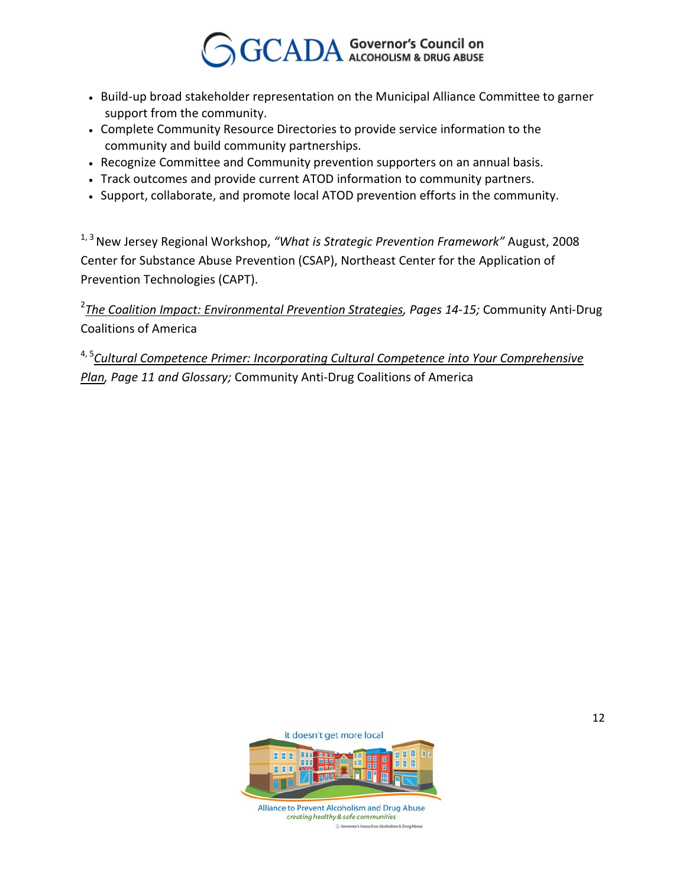- Build-up broad stakeholder representation on the Municipal Alliance Committee to garner support from the community.
- Complete Community Resource Directories to provide service information to the community and build community partnerships.
- Recognize Committee and Community prevention supporters on an annual basis.
- Track outcomes and provide current ATOD information to community partners.
- Support, collaborate, and promote local ATOD prevention efforts in the community.

<sup>1, 3</sup> New Jersey Regional Workshop, *"What is Strategic Prevention Framework"* August, 2008 Center for Substance Abuse Prevention (CSAP), Northeast Center for the Application of Prevention Technologies (CAPT).

<sup>2</sup> <u>The Coalition Impact: Environmental Prevention Strategies</u>, Pages 14-15; Community Anti-Drug Coalitions of America

<sup>4, 5</sup>Cultural Competence Primer: Incorporating Cultural Competence into Your Comprehensive *Plan, Page 11 and Glossary; Community Anti-Drug Coalitions of America* 

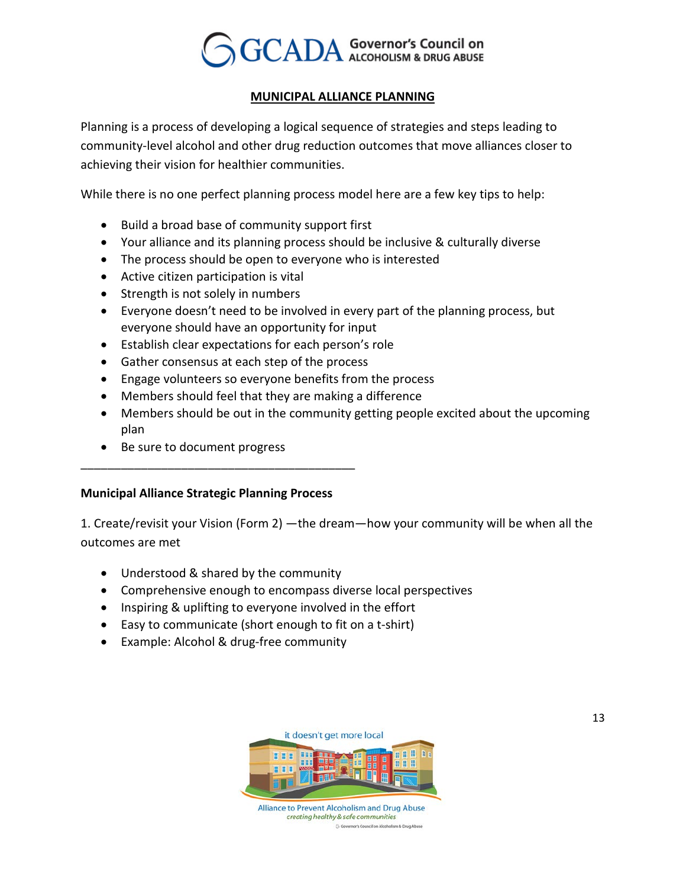

#### *<sup>U</sup>***MUNICIPAL ALLIANCE PLANNING**

Planning is a process of developing a logical sequence of strategies and steps leading to community-level alcohol and other drug reduction outcomes that move alliances closer to achieving their vision for healthier communities.

While there is no one perfect planning process model here are a few key tips to help:

- Build a broad base of community support first
- Your alliance and its planning process should be inclusive & culturally diverse
- The process should be open to everyone who is interested
- Active citizen participation is vital
- Strength is not solely in numbers
- Everyone doesn't need to be involved in every part of the planning process, but everyone should have an opportunity for input
- Establish clear expectations for each person's role
- Gather consensus at each step of the process
- Engage volunteers so everyone benefits from the process
- Members should feel that they are making a difference
- Members should be out in the community getting people excited about the upcoming plan
- Be sure to document progress

#### **Municipal Alliance Strategic Planning Process**

\_\_\_\_\_\_\_\_\_\_\_\_\_\_\_\_\_\_\_\_\_\_\_\_\_\_\_\_\_\_\_\_\_\_\_\_\_\_\_\_\_

1. Create/revisit your Vision (Form 2) —the dream—how your community will be when all the outcomes are met

- Understood & shared by the community
- Comprehensive enough to encompass diverse local perspectives
- Inspiring & uplifting to everyone involved in the effort
- Easy to communicate (short enough to fit on a t-shirt)
- Example: Alcohol & drug-free community



creating healthy & safe communities G Go .<br>mor's Council on Alcoholism & Drug Abus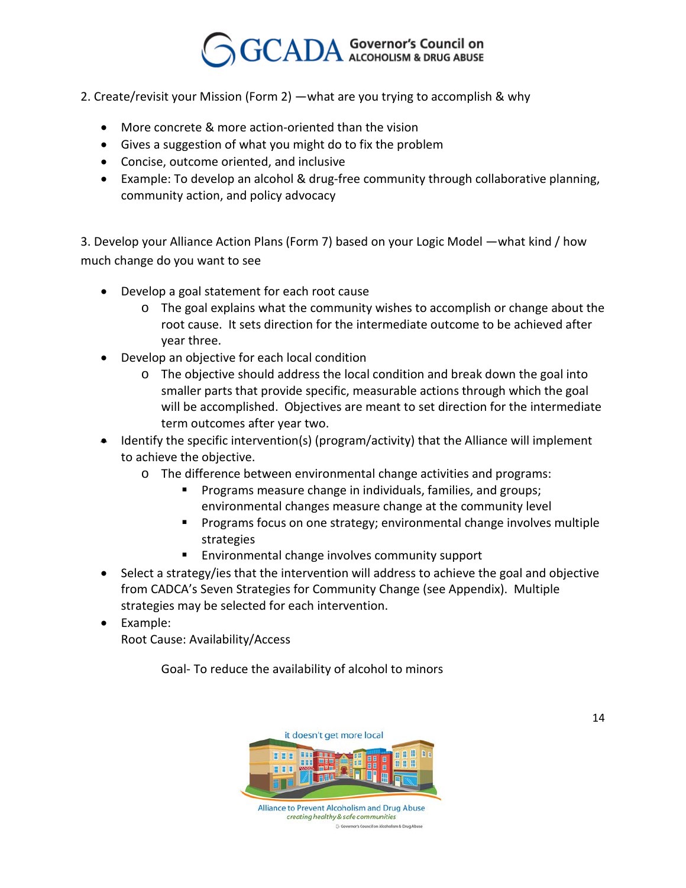- 2. Create/revisit your Mission (Form 2) —what are you trying to accomplish & why
	- More concrete & more action-oriented than the vision
	- Gives a suggestion of what you might do to fix the problem
	- Concise, outcome oriented, and inclusive
	- Example: To develop an alcohol & drug-free community through collaborative planning, community action, and policy advocacy

3. Develop your Alliance Action Plans (Form 7) based on your Logic Model —what kind / how much change do you want to see

- Develop a goal statement for each root cause
	- o The goal explains what the community wishes to accomplish or change about the root cause. It sets direction for the intermediate outcome to be achieved after year three.
- Develop an objective for each local condition
	- o The objective should address the local condition and break down the goal into smaller parts that provide specific, measurable actions through which the goal will be accomplished. Objectives are meant to set direction for the intermediate term outcomes after year two.
- Identify the specific intervention(s) (program/activity) that the Alliance will implement to achieve the objective.
	- o The difference between environmental change activities and programs:
		- Programs measure change in individuals, families, and groups; environmental changes measure change at the community level
		- **Programs focus on one strategy; environmental change involves multiple** strategies
		- **Environmental change involves community support**
- Select a strategy/ies that the intervention will address to achieve the goal and objective from CADCA's Seven Strategies for Community Change (see Appendix). Multiple strategies may be selected for each intervention.
- Example: Root Cause: Availability/Access

Goal- To reduce the availability of alcohol to minors



14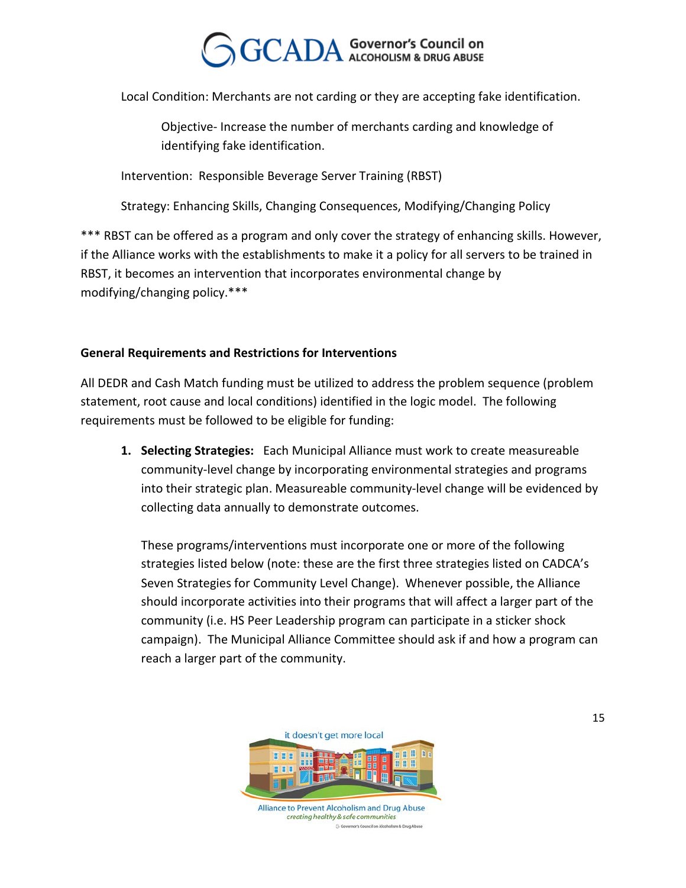Local Condition: Merchants are not carding or they are accepting fake identification.

Objective- Increase the number of merchants carding and knowledge of identifying fake identification.

Intervention: Responsible Beverage Server Training (RBST)

Strategy: Enhancing Skills, Changing Consequences, Modifying/Changing Policy

\*\*\* RBST can be offered as a program and only cover the strategy of enhancing skills. However, if the Alliance works with the establishments to make it a policy for all servers to be trained in RBST, it becomes an intervention that incorporates environmental change by modifying/changing policy.\*\*\*

#### **General Requirements and Restrictions for Interventions**

All DEDR and Cash Match funding must be utilized to address the problem sequence (problem statement, root cause and local conditions) identified in the logic model. The following requirements must be followed to be eligible for funding:

**1. Selecting Strategies:** Each Municipal Alliance must work to create measureable community-level change by incorporating environmental strategies and programs into their strategic plan. Measureable community-level change will be evidenced by collecting data annually to demonstrate outcomes.

These programs/interventions must incorporate one or more of the following strategies listed below (note: these are the first three strategies listed on CADCA's Seven Strategies for Community Level Change). Whenever possible, the Alliance should incorporate activities into their programs that will affect a larger part of the community (i.e. HS Peer Leadership program can participate in a sticker shock campaign). The Municipal Alliance Committee should ask if and how a program can reach a larger part of the community.

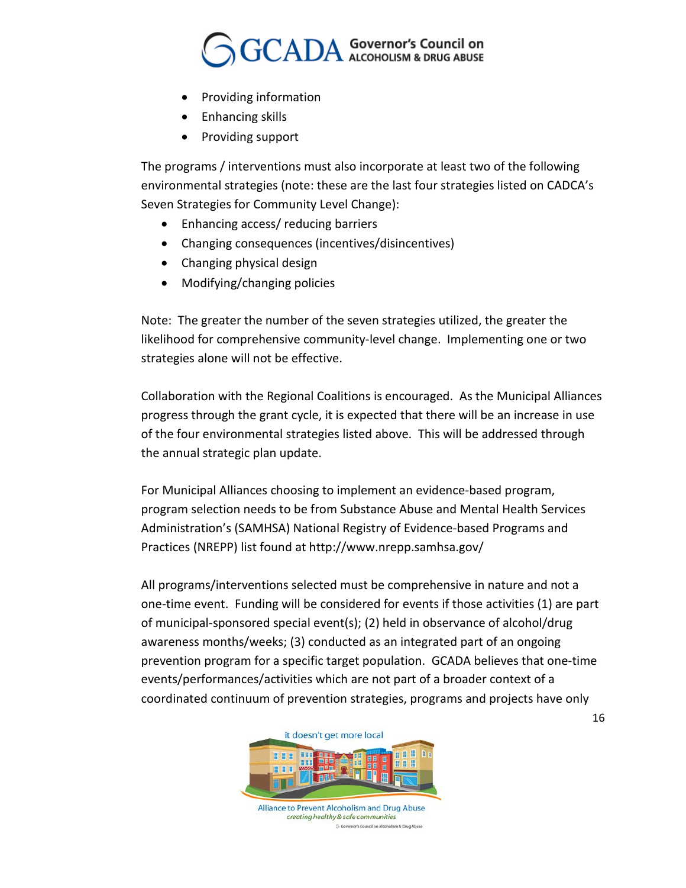## $\operatorname{CADA}$  Governor's Council on

- Providing information
- Enhancing skills
- Providing support

The programs / interventions must also incorporate at least two of the following environmental strategies (note: these are the last four strategies listed on CADCA's Seven Strategies for Community Level Change):

- Enhancing access/ reducing barriers
- Changing consequences (incentives/disincentives)
- Changing physical design
- Modifying/changing policies

Note: The greater the number of the seven strategies utilized, the greater the likelihood for comprehensive community-level change. Implementing one or two strategies alone will not be effective.

Collaboration with the Regional Coalitions is encouraged. As the Municipal Alliances progress through the grant cycle, it is expected that there will be an increase in use of the four environmental strategies listed above. This will be addressed through the annual strategic plan update.

For Municipal Alliances choosing to implement an evidence-based program, program selection needs to be from Substance Abuse and Mental Health Services Administration's (SAMHSA) National Registry of Evidence-based Programs and Practices (NREPP) list found at http://www.nrepp.samhsa.gov/

All programs/interventions selected must be comprehensive in nature and not a one-time event. Funding will be considered for events if those activities (1) are part of municipal-sponsored special event(s); (2) held in observance of alcohol/drug awareness months/weeks; (3) conducted as an integrated part of an ongoing prevention program for a specific target population. GCADA believes that one-time events/performances/activities which are not part of a broader context of a coordinated continuum of prevention strategies, programs and projects have only

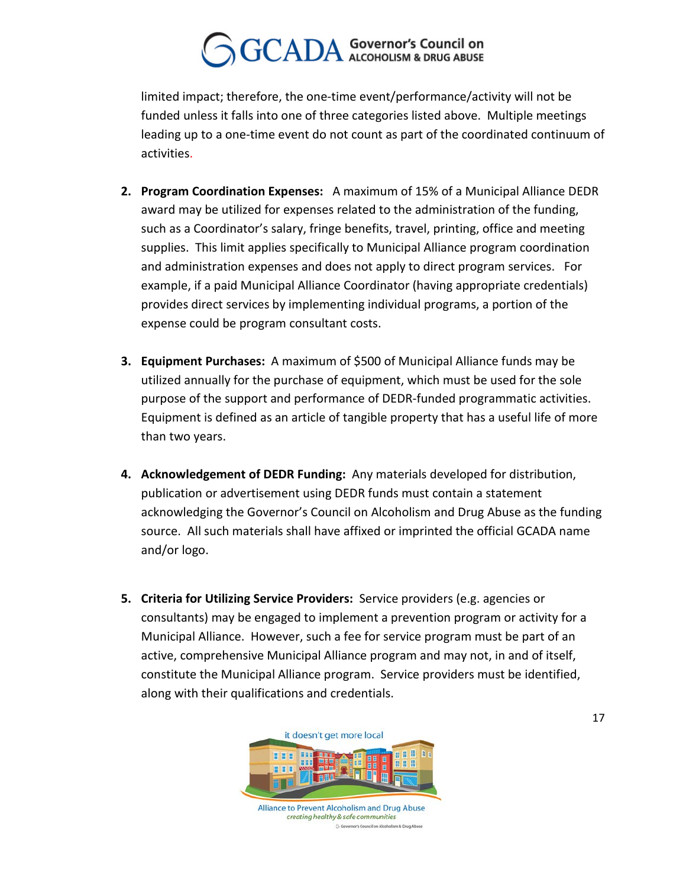limited impact; therefore, the one-time event/performance/activity will not be funded unless it falls into one of three categories listed above. Multiple meetings leading up to a one-time event do not count as part of the coordinated continuum of activities.

- **2. Program Coordination Expenses:** A maximum of 15% of a Municipal Alliance DEDR award may be utilized for expenses related to the administration of the funding, such as a Coordinator's salary, fringe benefits, travel, printing, office and meeting supplies. This limit applies specifically to Municipal Alliance program coordination and administration expenses and does not apply to direct program services. For example, if a paid Municipal Alliance Coordinator (having appropriate credentials) provides direct services by implementing individual programs, a portion of the expense could be program consultant costs.
- **3. Equipment Purchases:** A maximum of \$500 of Municipal Alliance funds may be utilized annually for the purchase of equipment, which must be used for the sole purpose of the support and performance of DEDR-funded programmatic activities. Equipment is defined as an article of tangible property that has a useful life of more than two years.
- **4. Acknowledgement of DEDR Funding:** Any materials developed for distribution, publication or advertisement using DEDR funds must contain a statement acknowledging the Governor's Council on Alcoholism and Drug Abuse as the funding source. All such materials shall have affixed or imprinted the official GCADA name and/or logo.
- **5. Criteria for Utilizing Service Providers:** Service providers (e.g. agencies or consultants) may be engaged to implement a prevention program or activity for a Municipal Alliance. However, such a fee for service program must be part of an active, comprehensive Municipal Alliance program and may not, in and of itself, constitute the Municipal Alliance program. Service providers must be identified, along with their qualifications and credentials.

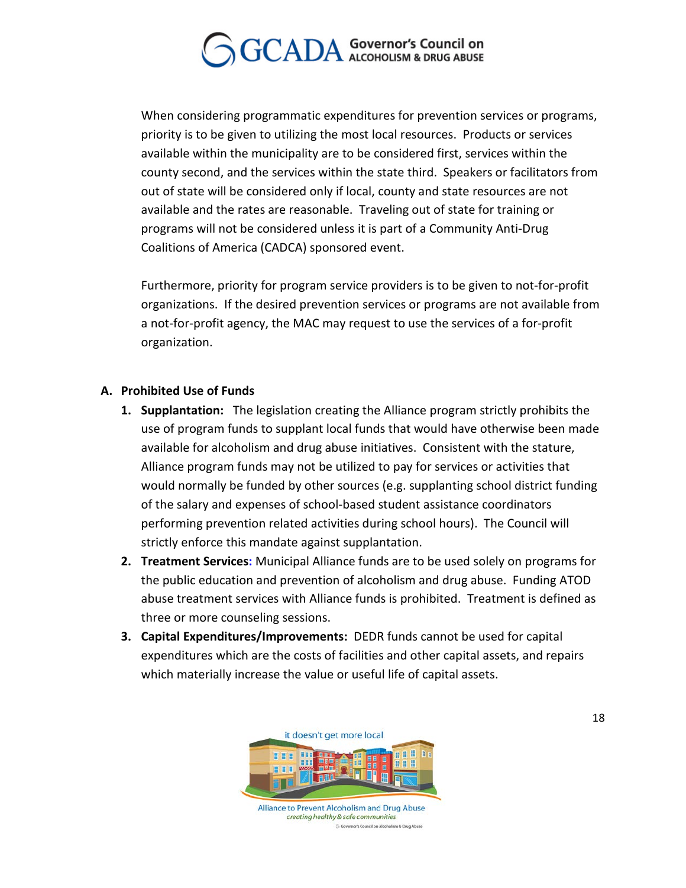When considering programmatic expenditures for prevention services or programs, priority is to be given to utilizing the most local resources. Products or services available within the municipality are to be considered first, services within the county second, and the services within the state third. Speakers or facilitators from out of state will be considered only if local, county and state resources are not available and the rates are reasonable. Traveling out of state for training or programs will not be considered unless it is part of a Community Anti-Drug Coalitions of America (CADCA) sponsored event.

Furthermore, priority for program service providers is to be given to not-for-profit organizations. If the desired prevention services or programs are not available from a not-for-profit agency, the MAC may request to use the services of a for-profit organization.

#### **A. Prohibited Use of Funds**

- **1. Supplantation:** The legislation creating the Alliance program strictly prohibits the use of program funds to supplant local funds that would have otherwise been made available for alcoholism and drug abuse initiatives. Consistent with the stature, Alliance program funds may not be utilized to pay for services or activities that would normally be funded by other sources (e.g. supplanting school district funding of the salary and expenses of school-based student assistance coordinators performing prevention related activities during school hours). The Council will strictly enforce this mandate against supplantation.
- **2. Treatment Services:** Municipal Alliance funds are to be used solely on programs for the public education and prevention of alcoholism and drug abuse. Funding ATOD abuse treatment services with Alliance funds is prohibited. Treatment is defined as three or more counseling sessions.
- **3. Capital Expenditures/Improvements:** DEDR funds cannot be used for capital expenditures which are the costs of facilities and other capital assets, and repairs which materially increase the value or useful life of capital assets.



creating healthy & safe communities GG nor's Council on Alcoholism & Drug Ab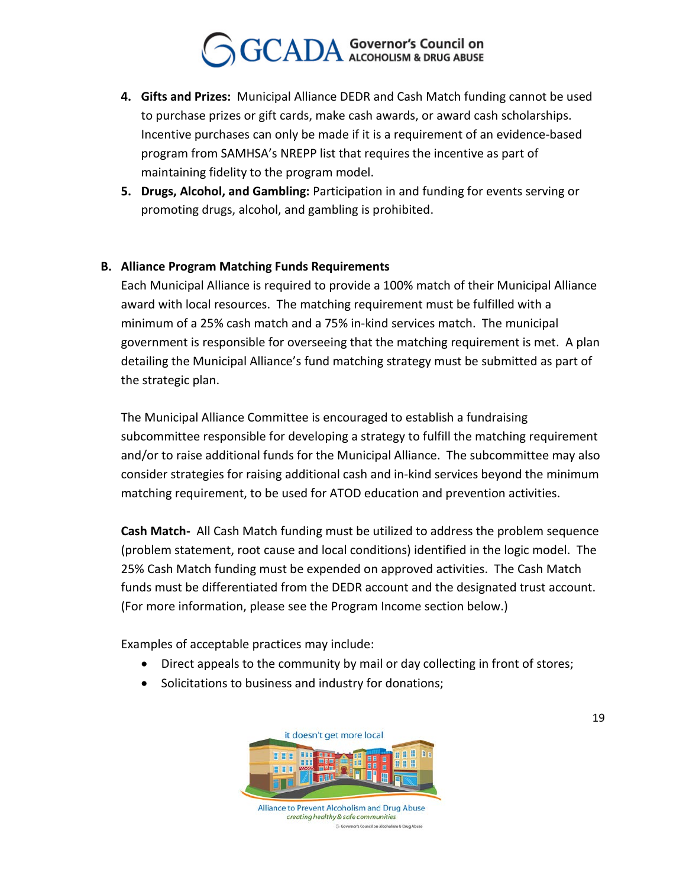- **4. Gifts and Prizes:** Municipal Alliance DEDR and Cash Match funding cannot be used to purchase prizes or gift cards, make cash awards, or award cash scholarships. Incentive purchases can only be made if it is a requirement of an evidence-based program from SAMHSA's NREPP list that requires the incentive as part of maintaining fidelity to the program model.
- **5. Drugs, Alcohol, and Gambling:** Participation in and funding for events serving or promoting drugs, alcohol, and gambling is prohibited.

#### **B. Alliance Program Matching Funds Requirements**

Each Municipal Alliance is required to provide a 100% match of their Municipal Alliance award with local resources. The matching requirement must be fulfilled with a minimum of a 25% cash match and a 75% in-kind services match. The municipal government is responsible for overseeing that the matching requirement is met. A plan detailing the Municipal Alliance's fund matching strategy must be submitted as part of the strategic plan.

The Municipal Alliance Committee is encouraged to establish a fundraising subcommittee responsible for developing a strategy to fulfill the matching requirement and/or to raise additional funds for the Municipal Alliance. The subcommittee may also consider strategies for raising additional cash and in-kind services beyond the minimum matching requirement, to be used for ATOD education and prevention activities.

**Cash Match-** All Cash Match funding must be utilized to address the problem sequence (problem statement, root cause and local conditions) identified in the logic model. The 25% Cash Match funding must be expended on approved activities.The Cash Match funds must be differentiated from the DEDR account and the designated trust account. (For more information, please see the Program Income section below.)

Examples of acceptable practices may include:

- Direct appeals to the community by mail or day collecting in front of stores;
- Solicitations to business and industry for donations;



GG nor's Council on Alcoholism & Drug Ab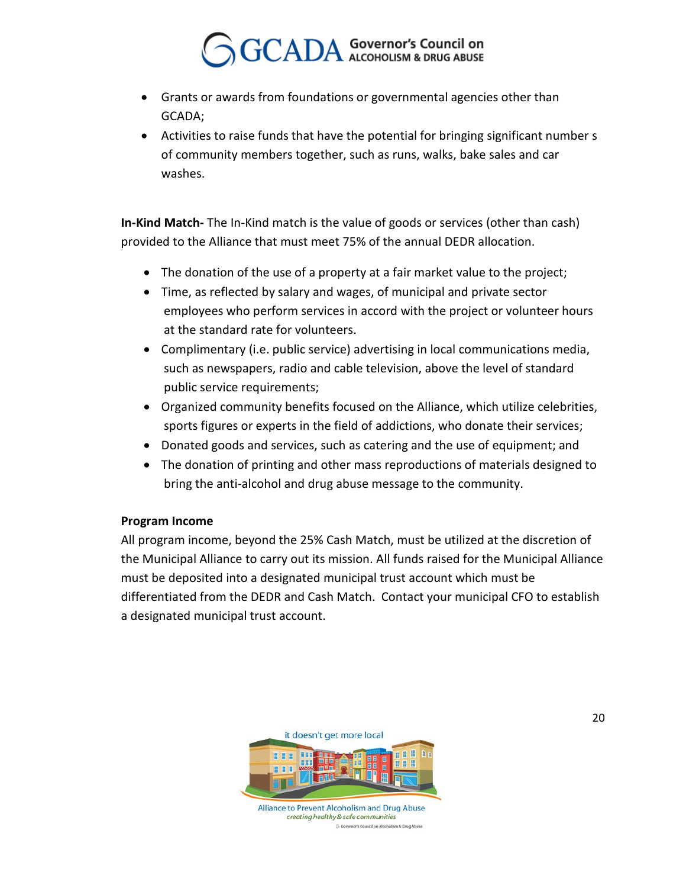- Grants or awards from foundations or governmental agencies other than GCADA;
- Activities to raise funds that have the potential for bringing significant number s of community members together, such as runs, walks, bake sales and car washes.

**In-Kind Match-** The In-Kind match is the value of goods or services (other than cash) provided to the Alliance that must meet 75% of the annual DEDR allocation.

- The donation of the use of a property at a fair market value to the project;
- Time, as reflected by salary and wages, of municipal and private sector employees who perform services in accord with the project or volunteer hours at the standard rate for volunteers.
- Complimentary (i.e. public service) advertising in local communications media, such as newspapers, radio and cable television, above the level of standard public service requirements;
- Organized community benefits focused on the Alliance, which utilize celebrities, sports figures or experts in the field of addictions, who donate their services;
- Donated goods and services, such as catering and the use of equipment; and
- The donation of printing and other mass reproductions of materials designed to bring the anti-alcohol and drug abuse message to the community.

#### **Program Income**

All program income, beyond the 25% Cash Match, must be utilized at the discretion of the Municipal Alliance to carry out its mission. All funds raised for the Municipal Alliance must be deposited into a designated municipal trust account which must be differentiated from the DEDR and Cash Match. Contact your municipal CFO to establish a designated municipal trust account.

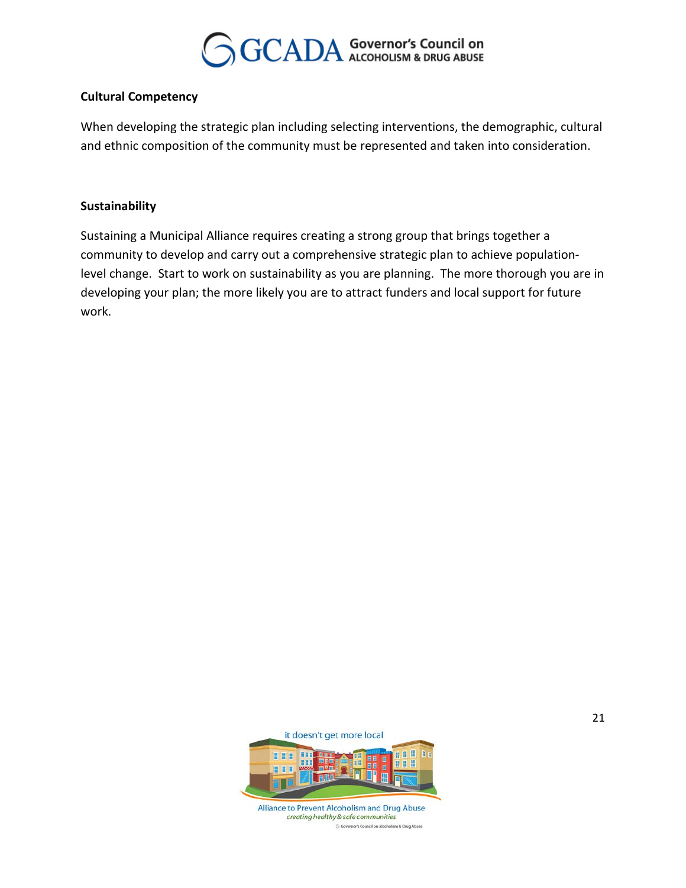

#### **Cultural Competency**

When developing the strategic plan including selecting interventions, the demographic, cultural and ethnic composition of the community must be represented and taken into consideration.

#### **Sustainability**

Sustaining a Municipal Alliance requires creating a strong group that brings together a community to develop and carry out a comprehensive strategic plan to achieve populationlevel change. Start to work on sustainability as you are planning. The more thorough you are in developing your plan; the more likely you are to attract funders and local support for future work.

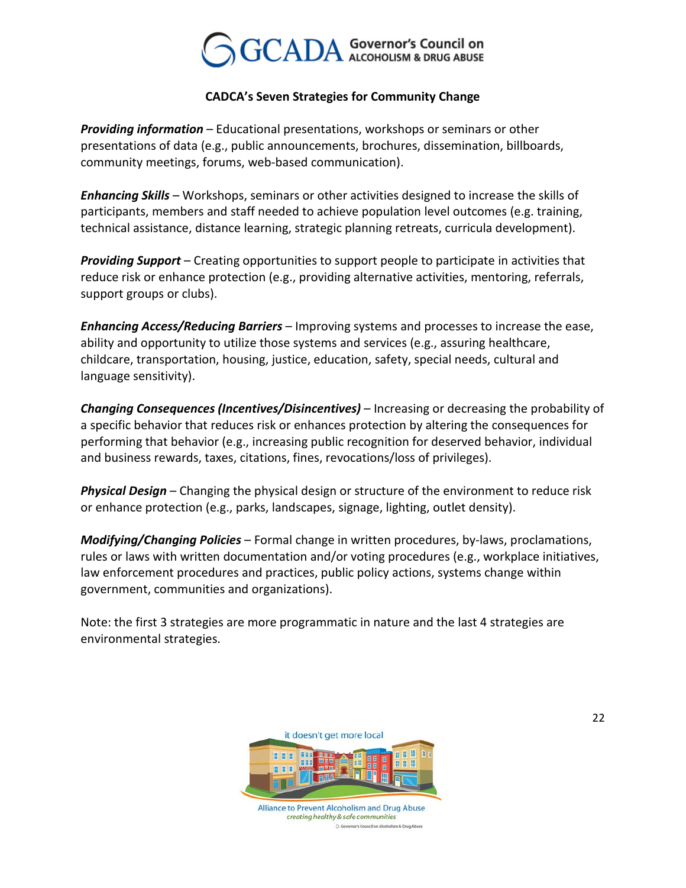### $\text{CADA}$  Governor's Council on

#### **CADCA's Seven Strategies for Community Change**

*Providing information* – Educational presentations, workshops or seminars or other presentations of data (e.g., public announcements, brochures, dissemination, billboards, community meetings, forums, web-based communication).

*Enhancing Skills* – Workshops, seminars or other activities designed to increase the skills of participants, members and staff needed to achieve population level outcomes (e.g. training, technical assistance, distance learning, strategic planning retreats, curricula development).

*Providing Support* – Creating opportunities to support people to participate in activities that reduce risk or enhance protection (e.g., providing alternative activities, mentoring, referrals, support groups or clubs).

*Enhancing Access/Reducing Barriers* – Improving systems and processes to increase the ease, ability and opportunity to utilize those systems and services (e.g., assuring healthcare, childcare, transportation, housing, justice, education, safety, special needs, cultural and language sensitivity).

*Changing Consequences (Incentives/Disincentives)* – Increasing or decreasing the probability of a specific behavior that reduces risk or enhances protection by altering the consequences for performing that behavior (e.g., increasing public recognition for deserved behavior, individual and business rewards, taxes, citations, fines, revocations/loss of privileges).

*Physical Design* – Changing the physical design or structure of the environment to reduce risk or enhance protection (e.g., parks, landscapes, signage, lighting, outlet density).

*Modifying/Changing Policies* – Formal change in written procedures, by-laws, proclamations, rules or laws with written documentation and/or voting procedures (e.g., workplace initiatives, law enforcement procedures and practices, public policy actions, systems change within government, communities and organizations).

Note: the first 3 strategies are more programmatic in nature and the last 4 strategies are environmental strategies.

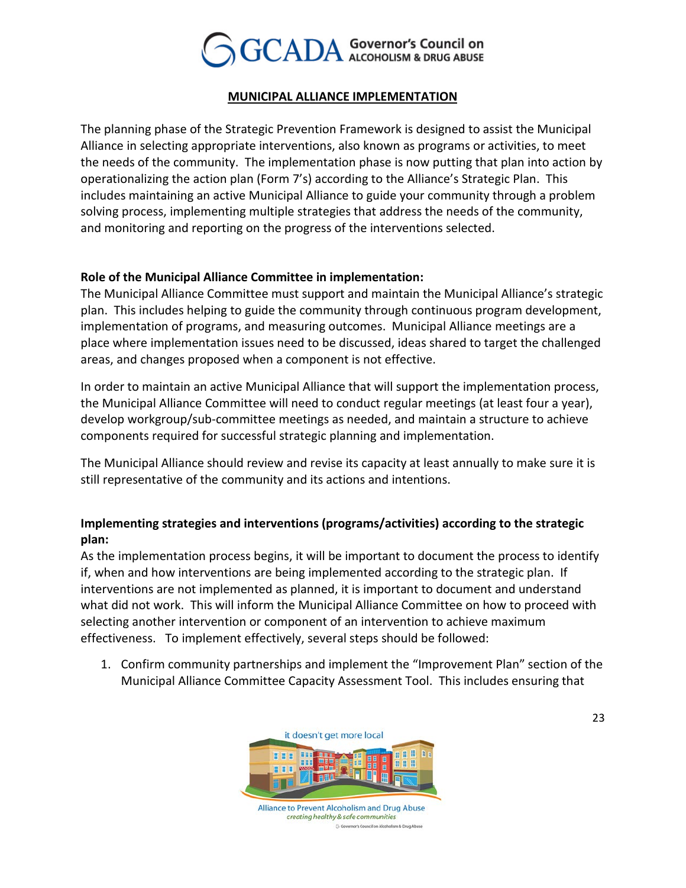

#### *<sup>U</sup>***MUNICIPAL ALLIANCE IMPLEMENTATION**

The planning phase of the Strategic Prevention Framework is designed to assist the Municipal Alliance in selecting appropriate interventions, also known as programs or activities, to meet the needs of the community. The implementation phase is now putting that plan into action by operationalizing the action plan (Form 7's) according to the Alliance's Strategic Plan. This includes maintaining an active Municipal Alliance to guide your community through a problem solving process, implementing multiple strategies that address the needs of the community, and monitoring and reporting on the progress of the interventions selected.

#### **Role of the Municipal Alliance Committee in implementation:**

The Municipal Alliance Committee must support and maintain the Municipal Alliance's strategic plan. This includes helping to guide the community through continuous program development, implementation of programs, and measuring outcomes. Municipal Alliance meetings are a place where implementation issues need to be discussed, ideas shared to target the challenged areas, and changes proposed when a component is not effective.

In order to maintain an active Municipal Alliance that will support the implementation process, the Municipal Alliance Committee will need to conduct regular meetings (at least four a year), develop workgroup/sub-committee meetings as needed, and maintain a structure to achieve components required for successful strategic planning and implementation.

The Municipal Alliance should review and revise its capacity at least annually to make sure it is still representative of the community and its actions and intentions.

#### **Implementing strategies and interventions (programs/activities) according to the strategic plan:**

As the implementation process begins, it will be important to document the process to identify if, when and how interventions are being implemented according to the strategic plan. If interventions are not implemented as planned, it is important to document and understand what did not work. This will inform the Municipal Alliance Committee on how to proceed with selecting another intervention or component of an intervention to achieve maximum effectiveness. To implement effectively, several steps should be followed:

1. Confirm community partnerships and implement the "Improvement Plan" section of the Municipal Alliance Committee Capacity Assessment Tool. This includes ensuring that

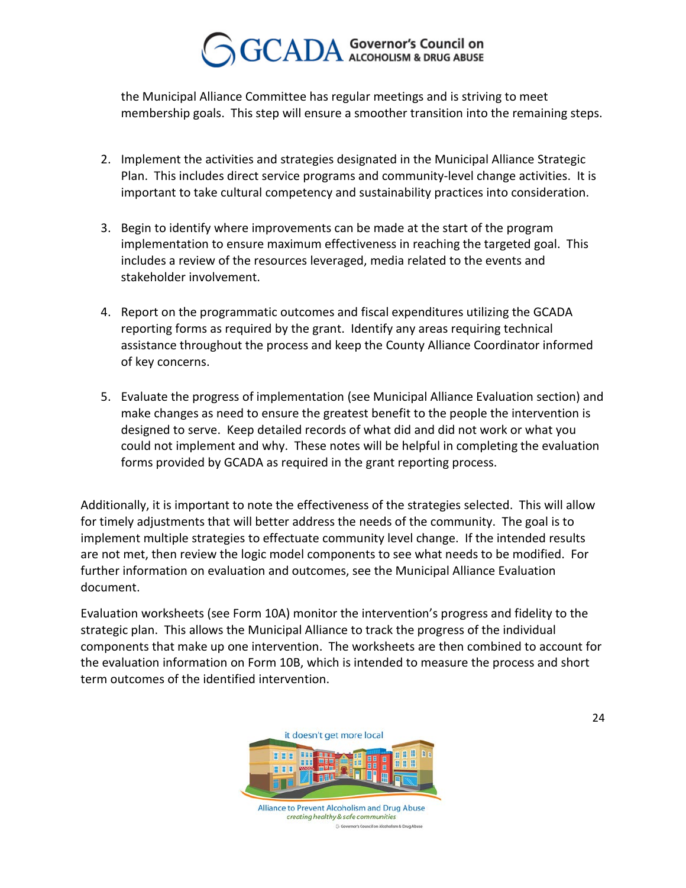the Municipal Alliance Committee has regular meetings and is striving to meet membership goals. This step will ensure a smoother transition into the remaining steps.

- 2. Implement the activities and strategies designated in the Municipal Alliance Strategic Plan. This includes direct service programs and community-level change activities. It is important to take cultural competency and sustainability practices into consideration.
- 3. Begin to identify where improvements can be made at the start of the program implementation to ensure maximum effectiveness in reaching the targeted goal. This includes a review of the resources leveraged, media related to the events and stakeholder involvement.
- 4. Report on the programmatic outcomes and fiscal expenditures utilizing the GCADA reporting forms as required by the grant. Identify any areas requiring technical assistance throughout the process and keep the County Alliance Coordinator informed of key concerns.
- 5. Evaluate the progress of implementation (see Municipal Alliance Evaluation section) and make changes as need to ensure the greatest benefit to the people the intervention is designed to serve. Keep detailed records of what did and did not work or what you could not implement and why. These notes will be helpful in completing the evaluation forms provided by GCADA as required in the grant reporting process.

Additionally, it is important to note the effectiveness of the strategies selected. This will allow for timely adjustments that will better address the needs of the community. The goal is to implement multiple strategies to effectuate community level change. If the intended results are not met, then review the logic model components to see what needs to be modified. For further information on evaluation and outcomes, see the Municipal Alliance Evaluation document.

Evaluation worksheets (see Form 10A) monitor the intervention's progress and fidelity to the strategic plan. This allows the Municipal Alliance to track the progress of the individual components that make up one intervention. The worksheets are then combined to account for the evaluation information on Form 10B, which is intended to measure the process and short term outcomes of the identified intervention.



Alliance to Prevent Alcoholism and Drug Abuse creating healthy & safe communities G Go nor's Council on Alcoholism & Drug Abuse

24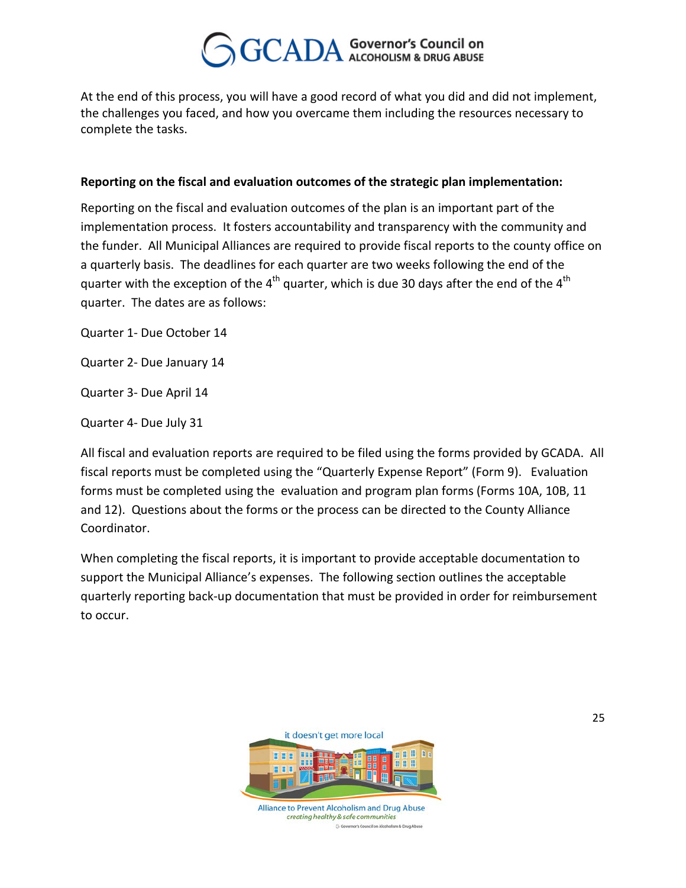At the end of this process, you will have a good record of what you did and did not implement, the challenges you faced, and how you overcame them including the resources necessary to complete the tasks.

#### **Reporting on the fiscal and evaluation outcomes of the strategic plan implementation:**

Reporting on the fiscal and evaluation outcomes of the plan is an important part of the implementation process. It fosters accountability and transparency with the community and the funder. All Municipal Alliances are required to provide fiscal reports to the county office on a quarterly basis. The deadlines for each quarter are two weeks following the end of the quarter with the exception of the 4<sup>th</sup> quarter, which is due 30 days after the end of the 4<sup>th</sup> quarter. The dates are as follows:

Quarter 1- Due October 14

Quarter 2- Due January 14

Quarter 3- Due April 14

Quarter 4- Due July 31

All fiscal and evaluation reports are required to be filed using the forms provided by GCADA. All fiscal reports must be completed using the "Quarterly Expense Report" (Form 9). Evaluation forms must be completed using the evaluation and program plan forms (Forms 10A, 10B, 11 and 12). Questions about the forms or the process can be directed to the County Alliance Coordinator.

When completing the fiscal reports, it is important to provide acceptable documentation to support the Municipal Alliance's expenses. The following section outlines the acceptable quarterly reporting back-up documentation that must be provided in order for reimbursement to occur.

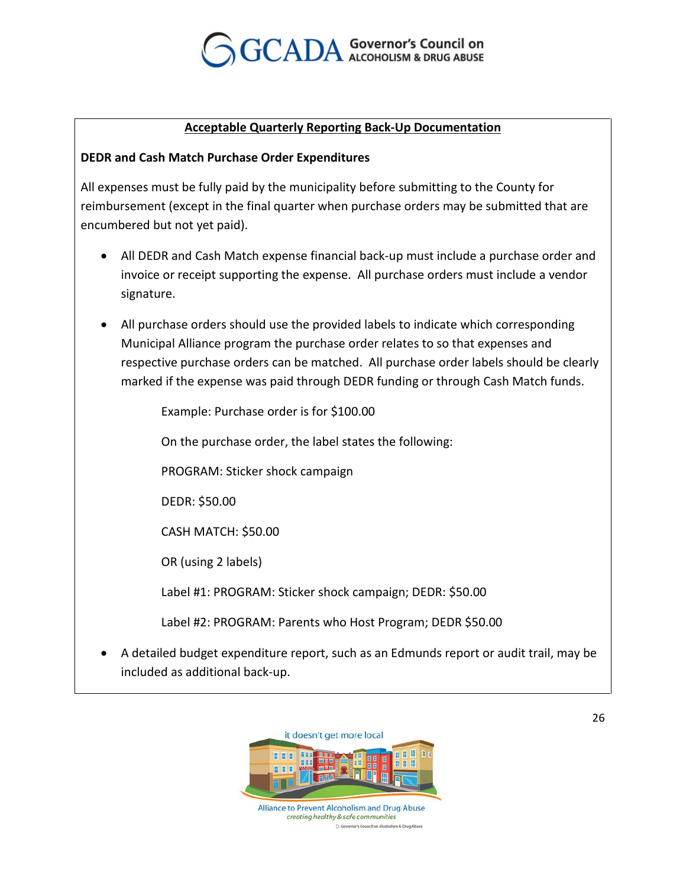

#### *<sup>U</sup>***Acceptable Quarterly Reporting Back-Up Documentation**

#### **DEDR and Cash Match Purchase Order Expenditures**

All expenses must be fully paid by the municipality before submitting to the County for reimbursement (except in the final quarter when purchase orders may be submitted that are encumbered but not yet paid).

- All DEDR and Cash Match expense financial back-up must include a purchase order and invoice or receipt supporting the expense. All purchase orders must include a vendor signature.
- All purchase orders should use the provided labels to indicate which corresponding Municipal Alliance program the purchase order relates to so that expenses and respective purchase orders can be matched. All purchase order labels should be clearly marked if the expense was paid through DEDR funding or through Cash Match funds.

Example: Purchase order is for \$100.00

On the purchase order, the label states the following:

PROGRAM: Sticker shock campaign

DEDR: \$50.00

CASH MATCH: \$50.00

OR (using 2 labels)

Label #1: PROGRAM: Sticker shock campaign; DEDR: \$50.00

Label #2: PROGRAM: Parents who Host Program; DEDR \$50.00

• A detailed budget expenditure report, such as an Edmunds report or audit trail, may be included as additional back-up.



creating healthy & safe communities nor's Council on Alcoholism & Drug Al Go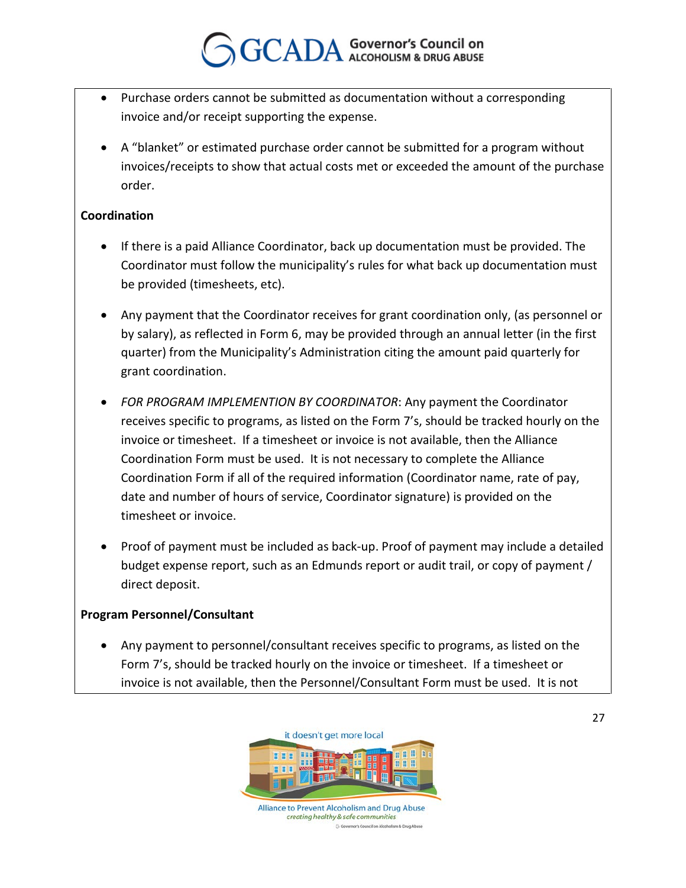- Purchase orders cannot be submitted as documentation without a corresponding invoice and/or receipt supporting the expense.
- A "blanket" or estimated purchase order cannot be submitted for a program without invoices/receipts to show that actual costs met or exceeded the amount of the purchase order.

#### **Coordination**

- If there is a paid Alliance Coordinator, back up documentation must be provided. The Coordinator must follow the municipality's rules for what back up documentation must be provided (timesheets, etc).
- Any payment that the Coordinator receives for grant coordination only, (as personnel or by salary), as reflected in Form 6, may be provided through an annual letter (in the first quarter) from the Municipality's Administration citing the amount paid quarterly for grant coordination.
- *FOR PROGRAM IMPLEMENTION BY COORDINATOR*: Any payment the Coordinator receives specific to programs, as listed on the Form 7's, should be tracked hourly on the invoice or timesheet. If a timesheet or invoice is not available, then the Alliance Coordination Form must be used.It is not necessary to complete the Alliance Coordination Form if all of the required information (Coordinator name, rate of pay, date and number of hours of service, Coordinator signature) is provided on the timesheet or invoice.
- Proof of payment must be included as back-up. Proof of payment may include a detailed budget expense report, such as an Edmunds report or audit trail, or copy of payment / direct deposit.

#### **Program Personnel/Consultant**

• Any payment to personnel/consultant receives specific to programs, as listed on the Form 7's, should be tracked hourly on the invoice or timesheet. If a timesheet or invoice is not available, then the Personnel/Consultant Form must be used. It is not

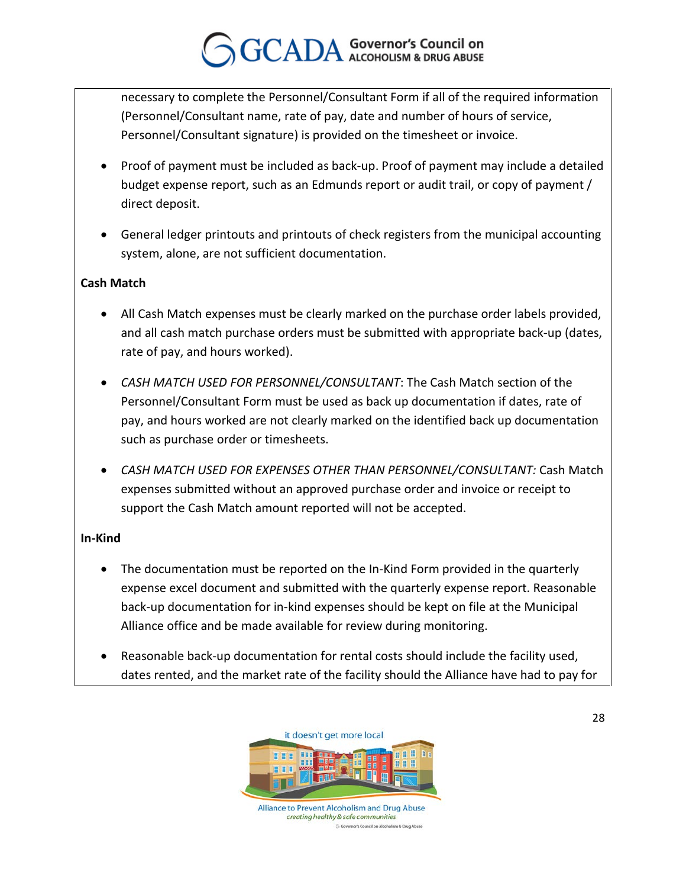necessary to complete the Personnel/Consultant Form if all of the required information (Personnel/Consultant name, rate of pay, date and number of hours of service, Personnel/Consultant signature) is provided on the timesheet or invoice.

- Proof of payment must be included as back-up. Proof of payment may include a detailed budget expense report, such as an Edmunds report or audit trail, or copy of payment / direct deposit.
- General ledger printouts and printouts of check registers from the municipal accounting system, alone, are not sufficient documentation.

#### **Cash Match**

- All Cash Match expenses must be clearly marked on the purchase order labels provided, and all cash match purchase orders must be submitted with appropriate back-up (dates, rate of pay, and hours worked).
- *CASH MATCH USED FOR PERSONNEL/CONSULTANT*: The Cash Match section of the Personnel/Consultant Form must be used as back up documentation if dates, rate of pay, and hours worked are not clearly marked on the identified back up documentation such as purchase order or timesheets.
- *CASH MATCH USED FOR EXPENSES OTHER THAN PERSONNEL/CONSULTANT:* Cash Match expenses submitted without an approved purchase order and invoice or receipt to support the Cash Match amount reported will not be accepted.

#### **In-Kind**

- The documentation must be reported on the In-Kind Form provided in the quarterly expense excel document and submitted with the quarterly expense report. Reasonable back-up documentation for in-kind expenses should be kept on file at the Municipal Alliance office and be made available for review during monitoring.
- Reasonable back-up documentation for rental costs should include the facility used, dates rented, and the market rate of the facility should the Alliance have had to pay for

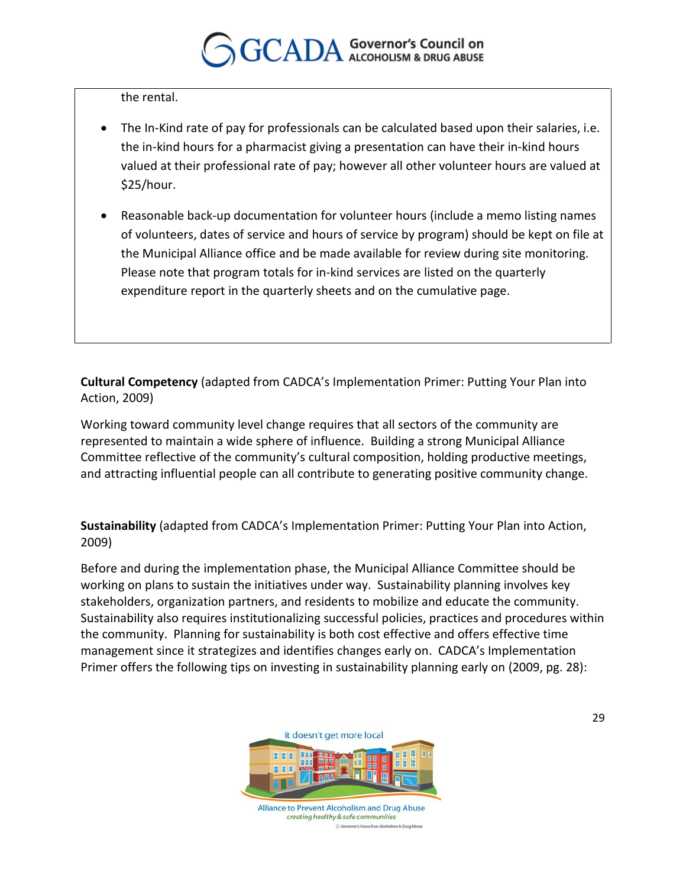the rental.

- The In-Kind rate of pay for professionals can be calculated based upon their salaries, i.e. the in-kind hours for a pharmacist giving a presentation can have their in-kind hours valued at their professional rate of pay; however all other volunteer hours are valued at \$25/hour.
- Reasonable back-up documentation for volunteer hours (include a memo listing names of volunteers, dates of service and hours of service by program) should be kept on file at the Municipal Alliance office and be made available for review during site monitoring. Please note that program totals for in-kind services are listed on the quarterly expenditure report in the quarterly sheets and on the cumulative page.

**Cultural Competency** (adapted from CADCA's Implementation Primer: Putting Your Plan into Action, 2009)

Working toward community level change requires that all sectors of the community are represented to maintain a wide sphere of influence. Building a strong Municipal Alliance Committee reflective of the community's cultural composition, holding productive meetings, and attracting influential people can all contribute to generating positive community change.

**Sustainability** (adapted from CADCA's Implementation Primer: Putting Your Plan into Action, 2009)

Before and during the implementation phase, the Municipal Alliance Committee should be working on plans to sustain the initiatives under way. Sustainability planning involves key stakeholders, organization partners, and residents to mobilize and educate the community. Sustainability also requires institutionalizing successful policies, practices and procedures within the community. Planning for sustainability is both cost effective and offers effective time management since it strategizes and identifies changes early on. CADCA's Implementation Primer offers the following tips on investing in sustainability planning early on (2009, pg. 28):

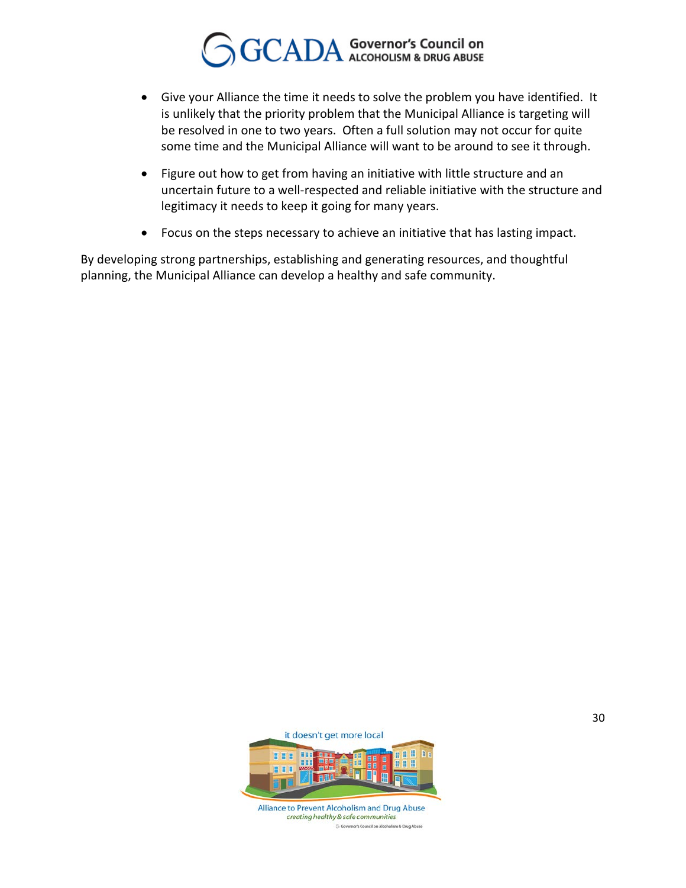- Give your Alliance the time it needs to solve the problem you have identified. It is unlikely that the priority problem that the Municipal Alliance is targeting will be resolved in one to two years. Often a full solution may not occur for quite some time and the Municipal Alliance will want to be around to see it through.
- Figure out how to get from having an initiative with little structure and an uncertain future to a well-respected and reliable initiative with the structure and legitimacy it needs to keep it going for many years.
- Focus on the steps necessary to achieve an initiative that has lasting impact.

By developing strong partnerships, establishing and generating resources, and thoughtful planning, the Municipal Alliance can develop a healthy and safe community.

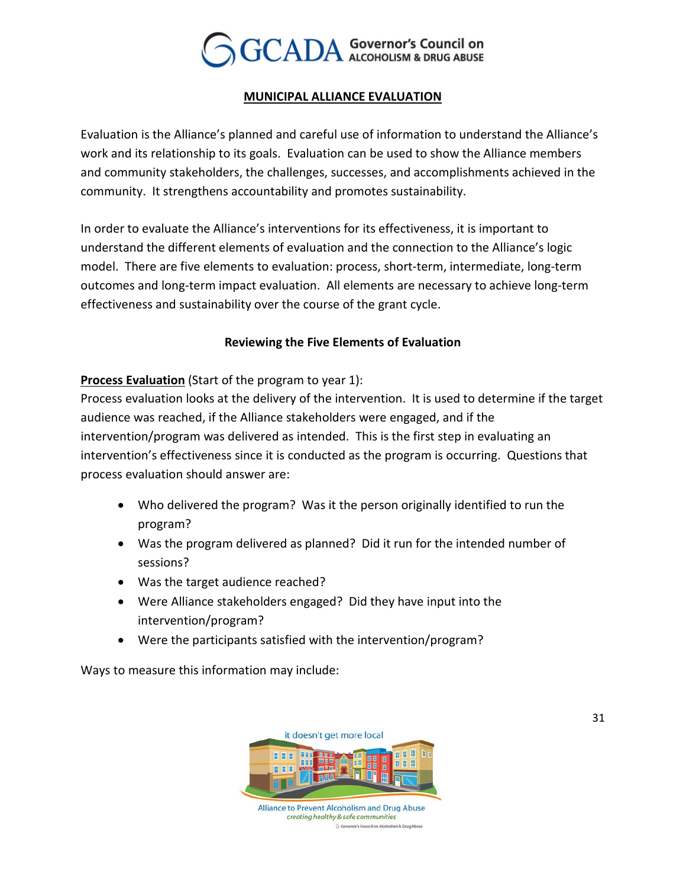

#### *<sup>U</sup>***MUNICIPAL ALLIANCE EVALUATION**

Evaluation is the Alliance's planned and careful use of information to understand the Alliance's work and its relationship to its goals. Evaluation can be used to show the Alliance members and community stakeholders, the challenges, successes, and accomplishments achieved in the community. It strengthens accountability and promotes sustainability.

In order to evaluate the Alliance's interventions for its effectiveness, it is important to understand the different elements of evaluation and the connection to the Alliance's logic model. There are five elements to evaluation: process, short-term, intermediate, long-term outcomes and long-term impact evaluation. All elements are necessary to achieve long-term effectiveness and sustainability over the course of the grant cycle.

#### **Reviewing the Five Elements of Evaluation**

**Process Evaluation** (Start of the program to year 1):

Process evaluation looks at the delivery of the intervention. It is used to determine if the target audience was reached, if the Alliance stakeholders were engaged, and if the intervention/program was delivered as intended. This is the first step in evaluating an intervention's effectiveness since it is conducted as the program is occurring. Questions that process evaluation should answer are:

- Who delivered the program? Was it the person originally identified to run the program?
- Was the program delivered as planned? Did it run for the intended number of sessions?
- Was the target audience reached?
- Were Alliance stakeholders engaged? Did they have input into the intervention/program?
- Were the participants satisfied with the intervention/program?

Ways to measure this information may include:



creating healthy & safe communities GG nor's Council on Alcoholism & Drug Ab 31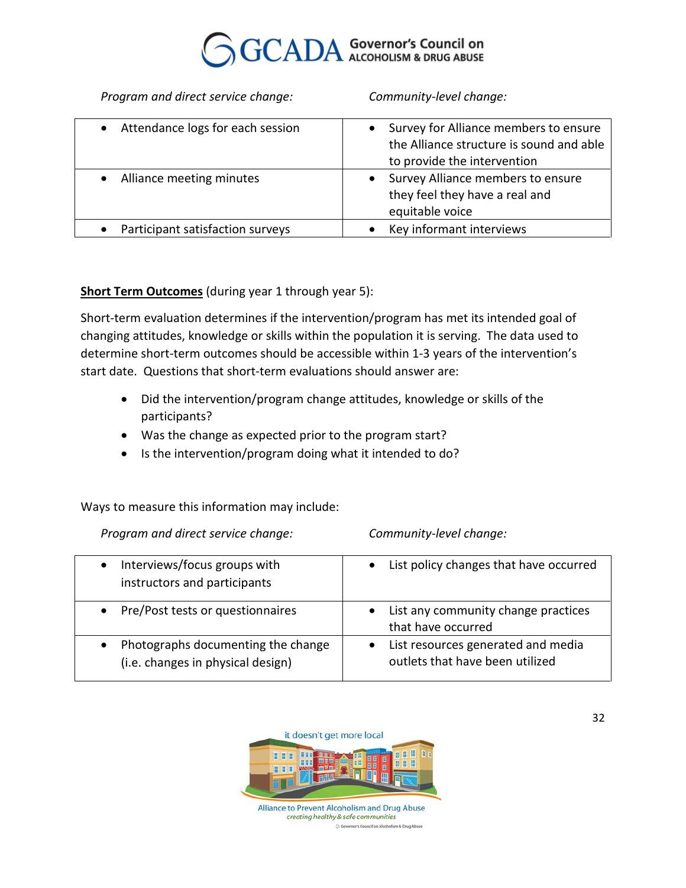

*Program and direct service change: Community-level change:*

| Attendance logs for each session | Survey for Alliance members to ensure<br>$\bullet$<br>the Alliance structure is sound and able<br>to provide the intervention |
|----------------------------------|-------------------------------------------------------------------------------------------------------------------------------|
| Alliance meeting minutes         | Survey Alliance members to ensure<br>٠<br>they feel they have a real and<br>equitable voice                                   |
| Participant satisfaction surveys | Key informant interviews                                                                                                      |

#### **Short Term Outcomes** (during year 1 through year 5):

Short-term evaluation determines if the intervention/program has met its intended goal of changing attitudes, knowledge or skills within the population it is serving. The data used to determine short-term outcomes should be accessible within 1-3 years of the intervention's start date. Questions that short-term evaluations should answer are:

- Did the intervention/program change attitudes, knowledge or skills of the participants?
- Was the change as expected prior to the program start?
- Is the intervention/program doing what it intended to do?

Ways to measure this information may include:

*Program and direct service change: Community-level change:*

| Interviews/focus groups with<br>instructors and participants            | • List policy changes that have occurred                               |
|-------------------------------------------------------------------------|------------------------------------------------------------------------|
| Pre/Post tests or questionnaires<br>$\bullet$                           | List any community change practices<br>$\bullet$<br>that have occurred |
| Photographs documenting the change<br>(i.e. changes in physical design) | List resources generated and media<br>outlets that have been utilized  |

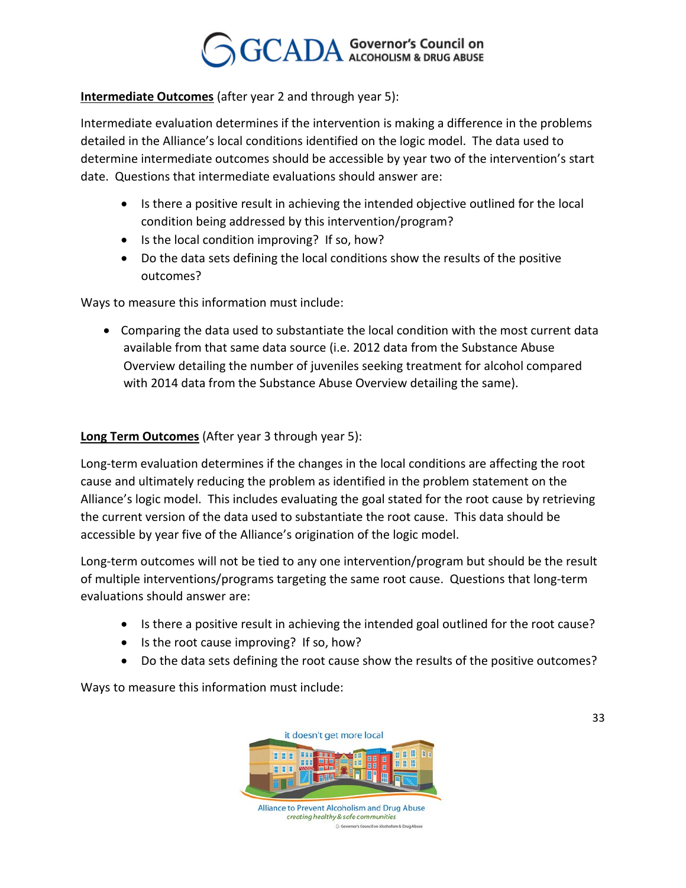#### **Intermediate Outcomes** (after year 2 and through year 5):

Intermediate evaluation determines if the intervention is making a difference in the problems detailed in the Alliance's local conditions identified on the logic model. The data used to determine intermediate outcomes should be accessible by year two of the intervention's start date. Questions that intermediate evaluations should answer are:

- Is there a positive result in achieving the intended objective outlined for the local condition being addressed by this intervention/program?
- Is the local condition improving? If so, how?
- Do the data sets defining the local conditions show the results of the positive outcomes?

Ways to measure this information must include:

• Comparing the data used to substantiate the local condition with the most current data available from that same data source (i.e. 2012 data from the Substance Abuse Overview detailing the number of juveniles seeking treatment for alcohol compared with 2014 data from the Substance Abuse Overview detailing the same).

#### **Long Term Outcomes** (After year 3 through year 5):

Long-term evaluation determines if the changes in the local conditions are affecting the root cause and ultimately reducing the problem as identified in the problem statement on the Alliance's logic model. This includes evaluating the goal stated for the root cause by retrieving the current version of the data used to substantiate the root cause. This data should be accessible by year five of the Alliance's origination of the logic model.

Long-term outcomes will not be tied to any one intervention/program but should be the result of multiple interventions/programs targeting the same root cause. Questions that long-term evaluations should answer are:

- Is there a positive result in achieving the intended goal outlined for the root cause?
- Is the root cause improving? If so, how?
- Do the data sets defining the root cause show the results of the positive outcomes?

Ways to measure this information must include:



GG nor's Council on Alcoholism & Drug Abuse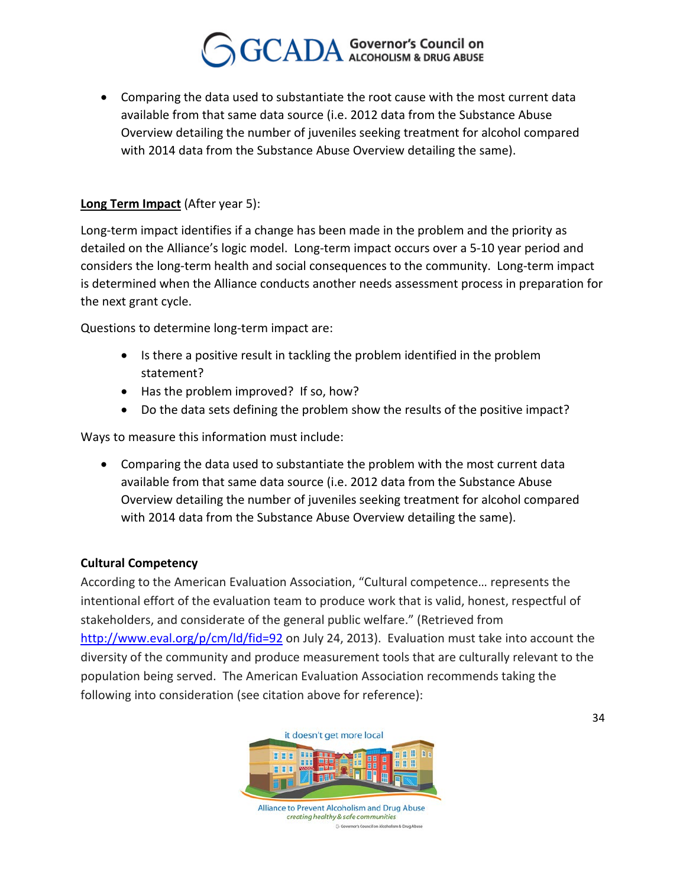• Comparing the data used to substantiate the root cause with the most current data available from that same data source (i.e. 2012 data from the Substance Abuse Overview detailing the number of juveniles seeking treatment for alcohol compared with 2014 data from the Substance Abuse Overview detailing the same).

#### **Long Term Impact** (After year 5):

Long-term impact identifies if a change has been made in the problem and the priority as detailed on the Alliance's logic model. Long-term impact occurs over a 5-10 year period and considers the long-term health and social consequences to the community. Long-term impact is determined when the Alliance conducts another needs assessment process in preparation for the next grant cycle.

Questions to determine long-term impact are:

- Is there a positive result in tackling the problem identified in the problem statement?
- Has the problem improved? If so, how?
- Do the data sets defining the problem show the results of the positive impact?

Ways to measure this information must include:

• Comparing the data used to substantiate the problem with the most current data available from that same data source (i.e. 2012 data from the Substance Abuse Overview detailing the number of juveniles seeking treatment for alcohol compared with 2014 data from the Substance Abuse Overview detailing the same).

#### **Cultural Competency**

According to the American Evaluation Association, "Cultural competence… represents the intentional effort of the evaluation team to produce work that is valid, honest, respectful of stakeholders, and considerate of the general public welfare." (Retrieved from *<http://www.eval.org/p/cm/ld/fid=92> on July 24, 2013). Evaluation must take into account the* diversity of the community and produce measurement tools that are culturally relevant to the population being served. The American Evaluation Association recommends taking the following into consideration (see citation above for reference):